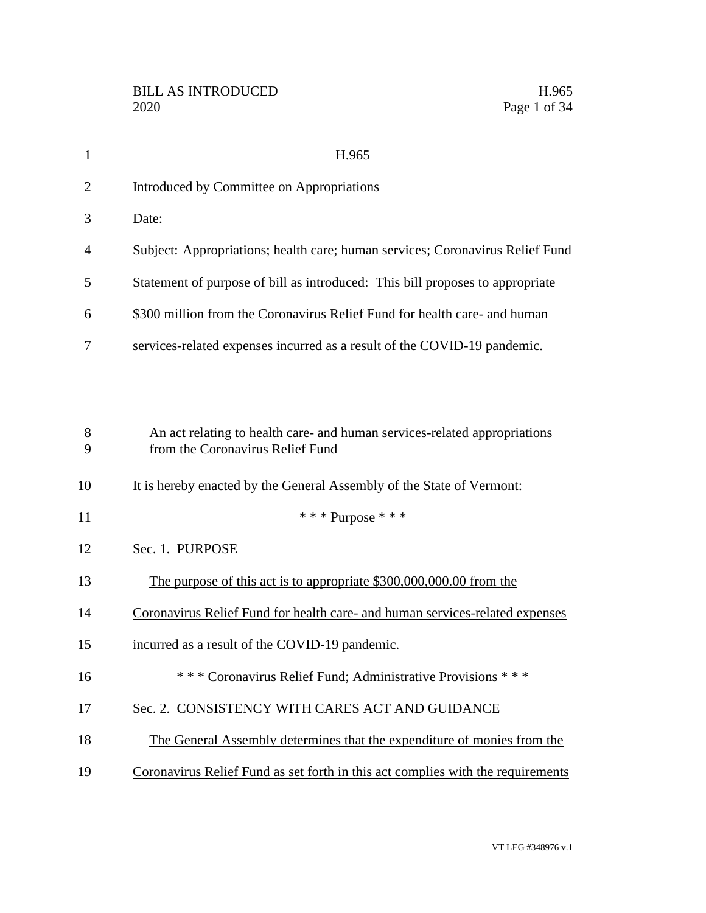| $\mathbf{1}$   | H.965                                                                                                         |
|----------------|---------------------------------------------------------------------------------------------------------------|
| $\overline{2}$ | Introduced by Committee on Appropriations                                                                     |
| 3              | Date:                                                                                                         |
| 4              | Subject: Appropriations; health care; human services; Coronavirus Relief Fund                                 |
| 5              | Statement of purpose of bill as introduced: This bill proposes to appropriate                                 |
| 6              | \$300 million from the Coronavirus Relief Fund for health care- and human                                     |
| 7              | services-related expenses incurred as a result of the COVID-19 pandemic.                                      |
|                |                                                                                                               |
| 8<br>9         | An act relating to health care- and human services-related appropriations<br>from the Coronavirus Relief Fund |
| 10             | It is hereby enacted by the General Assembly of the State of Vermont:                                         |
| 11             | *** Purpose ***                                                                                               |
| 12             | Sec. 1. PURPOSE                                                                                               |
| 13             | The purpose of this act is to appropriate \$300,000,000.00 from the                                           |
| 14             | Coronavirus Relief Fund for health care- and human services-related expenses                                  |
| 15             | incurred as a result of the COVID-19 pandemic.                                                                |
| 16             | *** Coronavirus Relief Fund; Administrative Provisions ***                                                    |
| 17             | Sec. 2. CONSISTENCY WITH CARES ACT AND GUIDANCE                                                               |
| 18             | The General Assembly determines that the expenditure of monies from the                                       |
| 19             | Coronavirus Relief Fund as set forth in this act complies with the requirements                               |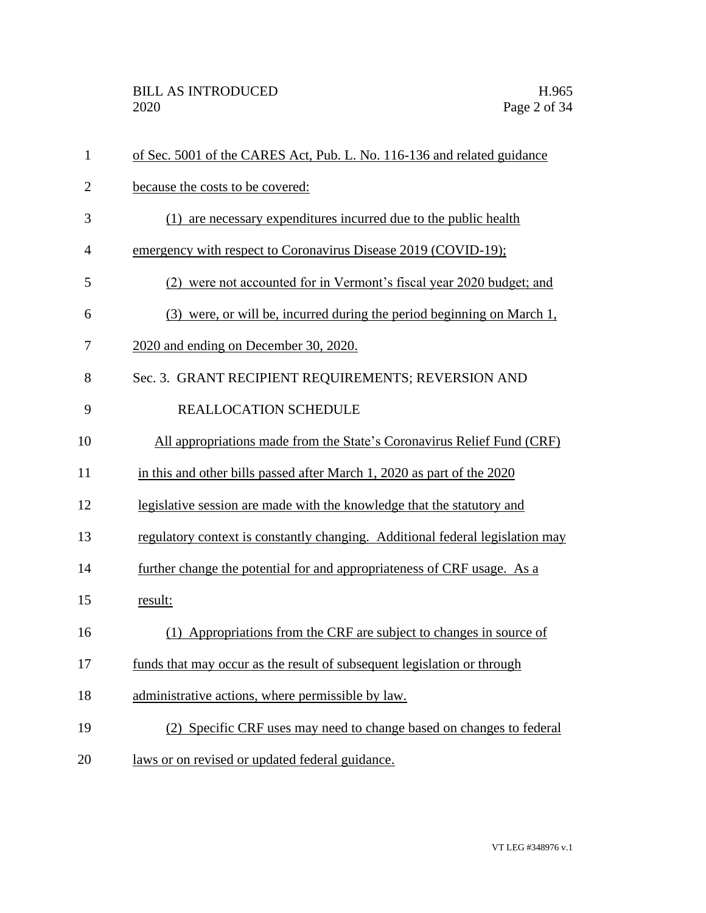| $\mathbf{1}$   | of Sec. 5001 of the CARES Act, Pub. L. No. 116-136 and related guidance       |
|----------------|-------------------------------------------------------------------------------|
| $\overline{2}$ | because the costs to be covered:                                              |
| 3              | (1) are necessary expenditures incurred due to the public health              |
| $\overline{4}$ | emergency with respect to Coronavirus Disease 2019 (COVID-19);                |
| 5              | (2) were not accounted for in Vermont's fiscal year 2020 budget; and          |
| 6              | (3) were, or will be, incurred during the period beginning on March 1,        |
| 7              | 2020 and ending on December 30, 2020.                                         |
| 8              | Sec. 3. GRANT RECIPIENT REQUIREMENTS; REVERSION AND                           |
| 9              | REALLOCATION SCHEDULE                                                         |
| 10             | All appropriations made from the State's Coronavirus Relief Fund (CRF)        |
| 11             | in this and other bills passed after March 1, 2020 as part of the 2020        |
| 12             | legislative session are made with the knowledge that the statutory and        |
| 13             | regulatory context is constantly changing. Additional federal legislation may |
| 14             | further change the potential for and appropriateness of CRF usage. As a       |
| 15             | result:                                                                       |
| 16             | Appropriations from the CRF are subject to changes in source of               |
| 17             | funds that may occur as the result of subsequent legislation or through       |
| 18             | administrative actions, where permissible by law.                             |
| 19             | (2) Specific CRF uses may need to change based on changes to federal          |
| 20             | laws or on revised or updated federal guidance.                               |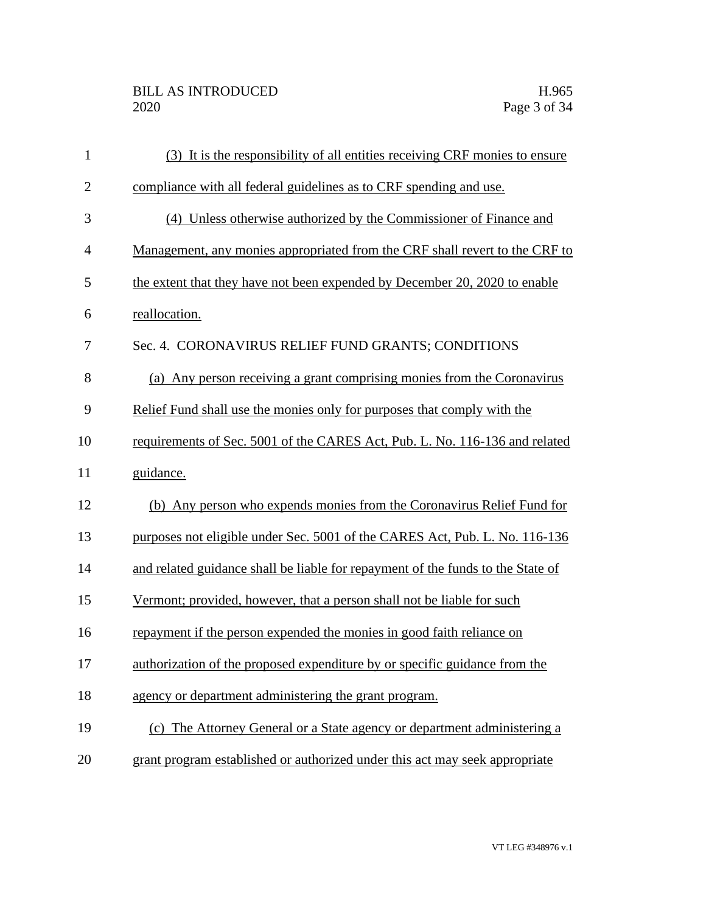| $\mathbf{1}$   | (3) It is the responsibility of all entities receiving CRF monies to ensure     |
|----------------|---------------------------------------------------------------------------------|
| $\overline{2}$ | compliance with all federal guidelines as to CRF spending and use.              |
| 3              | (4) Unless otherwise authorized by the Commissioner of Finance and              |
| $\overline{4}$ | Management, any monies appropriated from the CRF shall revert to the CRF to     |
| 5              | the extent that they have not been expended by December 20, 2020 to enable      |
| 6              | reallocation.                                                                   |
| 7              | Sec. 4. CORONAVIRUS RELIEF FUND GRANTS; CONDITIONS                              |
| 8              | (a) Any person receiving a grant comprising monies from the Coronavirus         |
| 9              | Relief Fund shall use the monies only for purposes that comply with the         |
| 10             | requirements of Sec. 5001 of the CARES Act, Pub. L. No. 116-136 and related     |
| 11             | guidance.                                                                       |
| 12             | (b) Any person who expends monies from the Coronavirus Relief Fund for          |
| 13             | purposes not eligible under Sec. 5001 of the CARES Act, Pub. L. No. 116-136     |
| 14             | and related guidance shall be liable for repayment of the funds to the State of |
| 15             | Vermont; provided, however, that a person shall not be liable for such          |
| 16             | repayment if the person expended the monies in good faith reliance on           |
| 17             | authorization of the proposed expenditure by or specific guidance from the      |
| 18             | agency or department administering the grant program.                           |
| 19             | (c) The Attorney General or a State agency or department administering a        |
| 20             | grant program established or authorized under this act may seek appropriate     |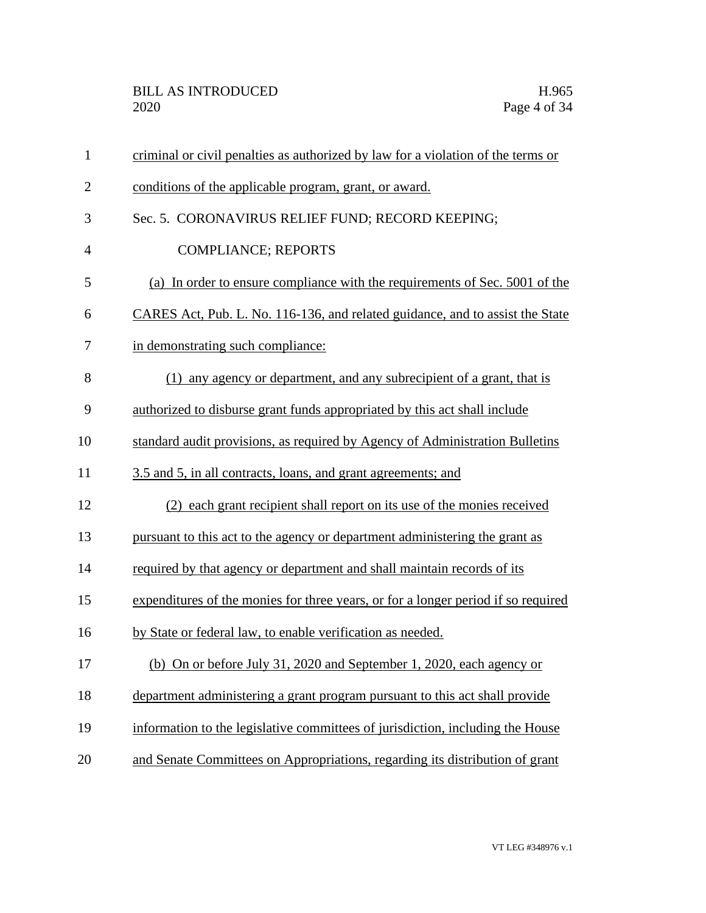| $\mathbf{1}$   | criminal or civil penalties as authorized by law for a violation of the terms or  |
|----------------|-----------------------------------------------------------------------------------|
| $\overline{2}$ | conditions of the applicable program, grant, or award.                            |
| 3              | Sec. 5. CORONAVIRUS RELIEF FUND; RECORD KEEPING;                                  |
| $\overline{4}$ | <b>COMPLIANCE; REPORTS</b>                                                        |
| 5              | (a) In order to ensure compliance with the requirements of Sec. 5001 of the       |
| 6              | CARES Act, Pub. L. No. 116-136, and related guidance, and to assist the State     |
| 7              | in demonstrating such compliance:                                                 |
| 8              | (1) any agency or department, and any subrecipient of a grant, that is            |
| 9              | authorized to disburse grant funds appropriated by this act shall include         |
| 10             | standard audit provisions, as required by Agency of Administration Bulletins      |
| 11             | 3.5 and 5, in all contracts, loans, and grant agreements; and                     |
| 12             | (2) each grant recipient shall report on its use of the monies received           |
| 13             | pursuant to this act to the agency or department administering the grant as       |
| 14             | required by that agency or department and shall maintain records of its           |
| 15             | expenditures of the monies for three years, or for a longer period if so required |
| 16             | by State or federal law, to enable verification as needed.                        |
| 17             | (b) On or before July 31, 2020 and September 1, 2020, each agency or              |
| 18             | department administering a grant program pursuant to this act shall provide       |
| 19             | information to the legislative committees of jurisdiction, including the House    |
| 20             | and Senate Committees on Appropriations, regarding its distribution of grant      |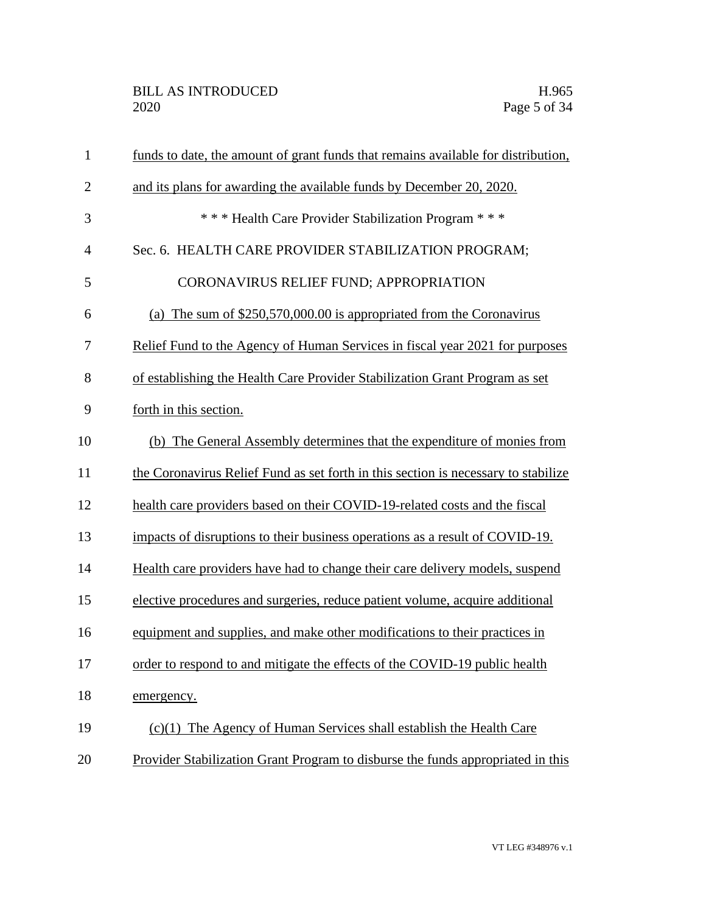| $\mathbf{1}$   | funds to date, the amount of grant funds that remains available for distribution,  |
|----------------|------------------------------------------------------------------------------------|
| $\overline{2}$ | and its plans for awarding the available funds by December 20, 2020.               |
| 3              | *** Health Care Provider Stabilization Program ***                                 |
| $\overline{4}$ | Sec. 6. HEALTH CARE PROVIDER STABILIZATION PROGRAM;                                |
| 5              | CORONAVIRUS RELIEF FUND; APPROPRIATION                                             |
| 6              | (a) The sum of $$250,570,000.00$ is appropriated from the Coronavirus              |
| 7              | Relief Fund to the Agency of Human Services in fiscal year 2021 for purposes       |
| 8              | of establishing the Health Care Provider Stabilization Grant Program as set        |
| 9              | forth in this section.                                                             |
| 10             | (b) The General Assembly determines that the expenditure of monies from            |
| 11             | the Coronavirus Relief Fund as set forth in this section is necessary to stabilize |
| 12             | health care providers based on their COVID-19-related costs and the fiscal         |
| 13             | impacts of disruptions to their business operations as a result of COVID-19.       |
| 14             | Health care providers have had to change their care delivery models, suspend       |
| 15             | elective procedures and surgeries, reduce patient volume, acquire additional       |
| 16             | equipment and supplies, and make other modifications to their practices in         |
| 17             | order to respond to and mitigate the effects of the COVID-19 public health         |
| 18             | emergency.                                                                         |
| 19             | $(c)(1)$ The Agency of Human Services shall establish the Health Care              |
| 20             | Provider Stabilization Grant Program to disburse the funds appropriated in this    |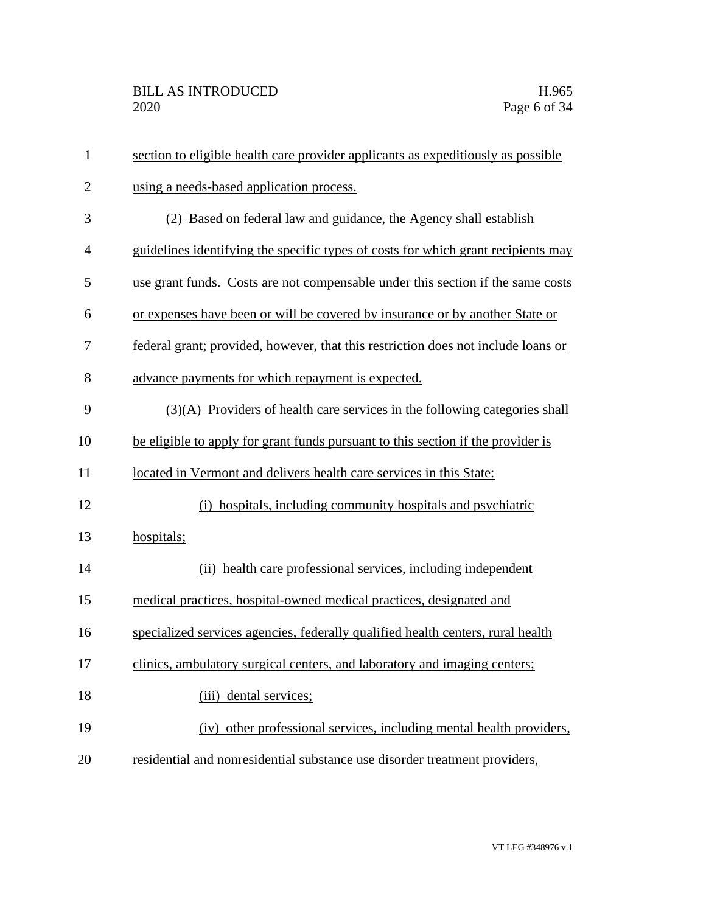| $\mathbf{1}$ | section to eligible health care provider applicants as expeditiously as possible  |
|--------------|-----------------------------------------------------------------------------------|
| $\mathbf{2}$ | using a needs-based application process.                                          |
| 3            | (2) Based on federal law and guidance, the Agency shall establish                 |
| 4            | guidelines identifying the specific types of costs for which grant recipients may |
| 5            | use grant funds. Costs are not compensable under this section if the same costs   |
| 6            | or expenses have been or will be covered by insurance or by another State or      |
| 7            | federal grant; provided, however, that this restriction does not include loans or |
| 8            | advance payments for which repayment is expected.                                 |
| 9            | (3)(A) Providers of health care services in the following categories shall        |
| 10           | be eligible to apply for grant funds pursuant to this section if the provider is  |
| 11           | located in Vermont and delivers health care services in this State:               |
| 12           | (i) hospitals, including community hospitals and psychiatric                      |
| 13           | hospitals;                                                                        |
| 14           | (ii) health care professional services, including independent                     |
| 15           | medical practices, hospital-owned medical practices, designated and               |
| 16           | specialized services agencies, federally qualified health centers, rural health   |
| 17           | clinics, ambulatory surgical centers, and laboratory and imaging centers;         |
| 18           | (iii) dental services;                                                            |
| 19           | (iv) other professional services, including mental health providers,              |
| 20           | residential and nonresidential substance use disorder treatment providers,        |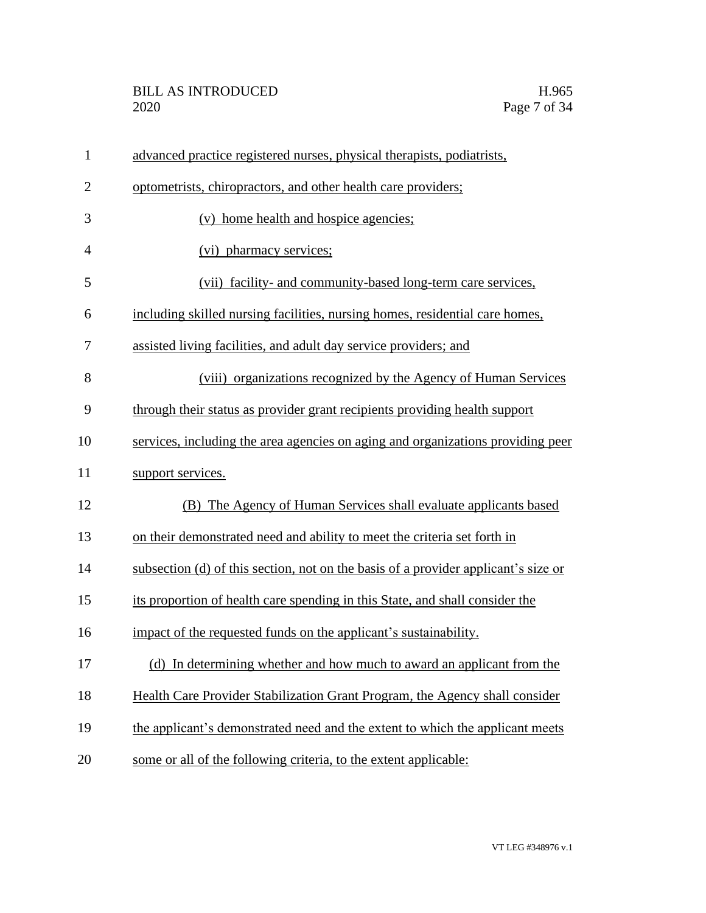| $\mathbf{1}$   | advanced practice registered nurses, physical therapists, podiatrists,             |
|----------------|------------------------------------------------------------------------------------|
| $\overline{2}$ | optometrists, chiropractors, and other health care providers;                      |
| 3              | (v) home health and hospice agencies;                                              |
| $\overline{4}$ | (vi) pharmacy services;                                                            |
| 5              | (vii) facility- and community-based long-term care services,                       |
| 6              | including skilled nursing facilities, nursing homes, residential care homes,       |
| 7              | assisted living facilities, and adult day service providers; and                   |
| 8              | (viii) organizations recognized by the Agency of Human Services                    |
| 9              | through their status as provider grant recipients providing health support         |
| 10             | services, including the area agencies on aging and organizations providing peer    |
| 11             | support services.                                                                  |
| 12             | (B) The Agency of Human Services shall evaluate applicants based                   |
| 13             | on their demonstrated need and ability to meet the criteria set forth in           |
| 14             | subsection (d) of this section, not on the basis of a provider applicant's size or |
| 15             | its proportion of health care spending in this State, and shall consider the       |
| 16             | impact of the requested funds on the applicant's sustainability.                   |
| 17             | (d) In determining whether and how much to award an applicant from the             |
| 18             | Health Care Provider Stabilization Grant Program, the Agency shall consider        |
| 19             | the applicant's demonstrated need and the extent to which the applicant meets      |
| 20             | some or all of the following criteria, to the extent applicable:                   |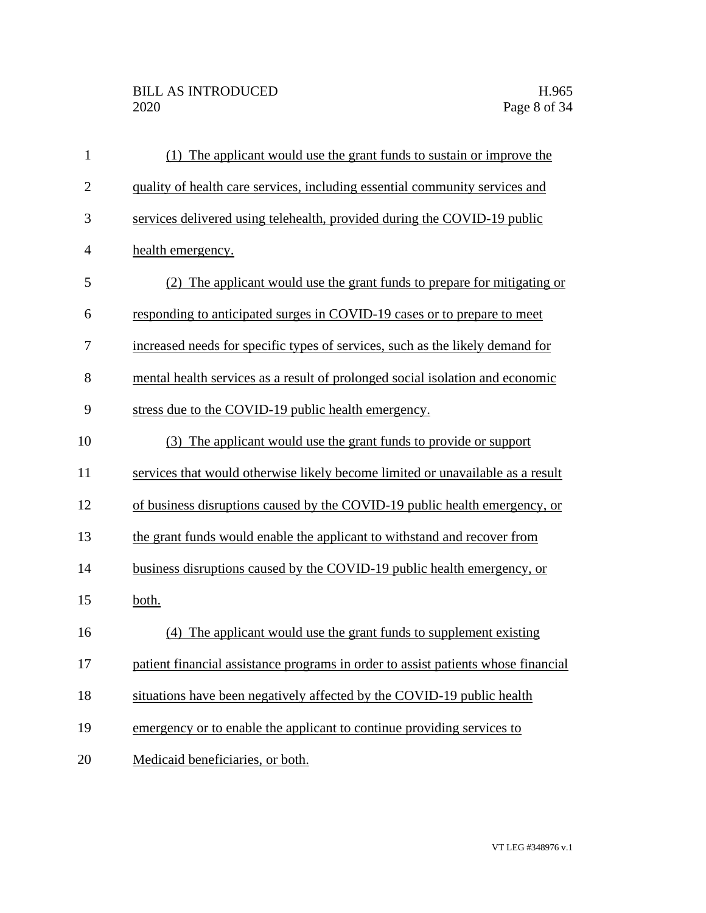| $\mathbf{1}$   | (1) The applicant would use the grant funds to sustain or improve the             |
|----------------|-----------------------------------------------------------------------------------|
| $\overline{2}$ | quality of health care services, including essential community services and       |
| 3              | services delivered using telehealth, provided during the COVID-19 public          |
| $\overline{4}$ | health emergency.                                                                 |
| 5              | (2) The applicant would use the grant funds to prepare for mitigating or          |
| 6              | responding to anticipated surges in COVID-19 cases or to prepare to meet          |
| 7              | increased needs for specific types of services, such as the likely demand for     |
| 8              | mental health services as a result of prolonged social isolation and economic     |
| 9              | stress due to the COVID-19 public health emergency.                               |
| 10             | (3) The applicant would use the grant funds to provide or support                 |
| 11             | services that would otherwise likely become limited or unavailable as a result    |
| 12             | of business disruptions caused by the COVID-19 public health emergency, or        |
| 13             | the grant funds would enable the applicant to withstand and recover from          |
| 14             | business disruptions caused by the COVID-19 public health emergency, or           |
| 15             | both.                                                                             |
| 16             | (4) The applicant would use the grant funds to supplement existing                |
| 17             | patient financial assistance programs in order to assist patients whose financial |
| 18             | situations have been negatively affected by the COVID-19 public health            |
| 19             | emergency or to enable the applicant to continue providing services to            |
| 20             | Medicaid beneficiaries, or both.                                                  |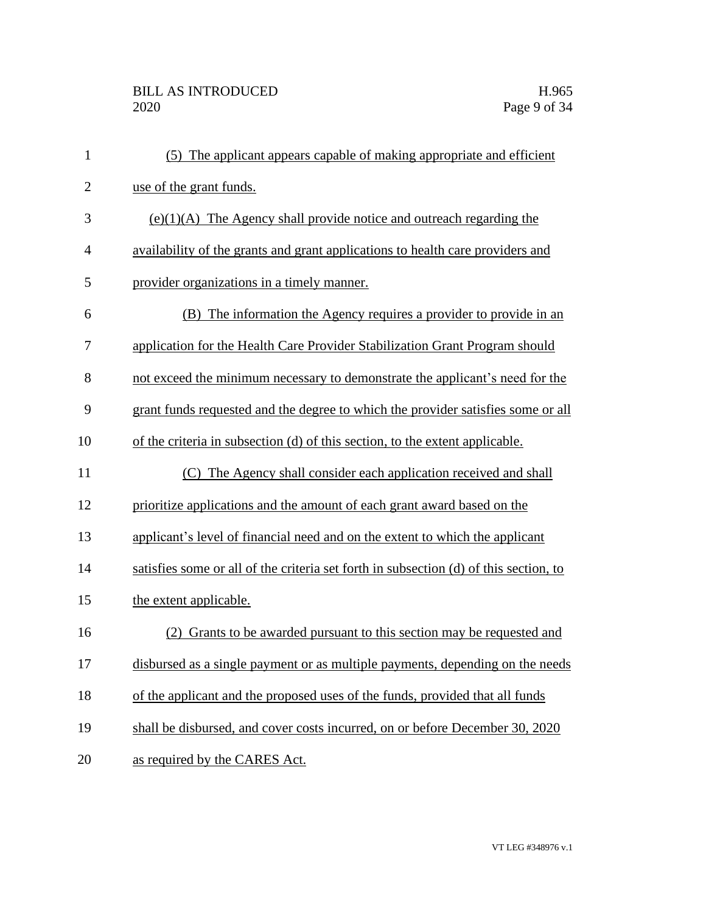| $\mathbf{1}$   | (5) The applicant appears capable of making appropriate and efficient                 |
|----------------|---------------------------------------------------------------------------------------|
| $\overline{2}$ | use of the grant funds.                                                               |
| 3              | $(e)(1)(A)$ The Agency shall provide notice and outreach regarding the                |
| $\overline{4}$ | availability of the grants and grant applications to health care providers and        |
| 5              | provider organizations in a timely manner.                                            |
| 6              | (B) The information the Agency requires a provider to provide in an                   |
| 7              | application for the Health Care Provider Stabilization Grant Program should           |
| 8              | not exceed the minimum necessary to demonstrate the applicant's need for the          |
| 9              | grant funds requested and the degree to which the provider satisfies some or all      |
| 10             | of the criteria in subsection (d) of this section, to the extent applicable.          |
| 11             | (C) The Agency shall consider each application received and shall                     |
| 12             | prioritize applications and the amount of each grant award based on the               |
| 13             | applicant's level of financial need and on the extent to which the applicant          |
| 14             | satisfies some or all of the criteria set forth in subsection (d) of this section, to |
| 15             | the extent applicable.                                                                |
| 16             | (2) Grants to be awarded pursuant to this section may be requested and                |
| 17             | disbursed as a single payment or as multiple payments, depending on the needs         |
| 18             | of the applicant and the proposed uses of the funds, provided that all funds          |
| 19             | shall be disbursed, and cover costs incurred, on or before December 30, 2020          |
| 20             | as required by the CARES Act.                                                         |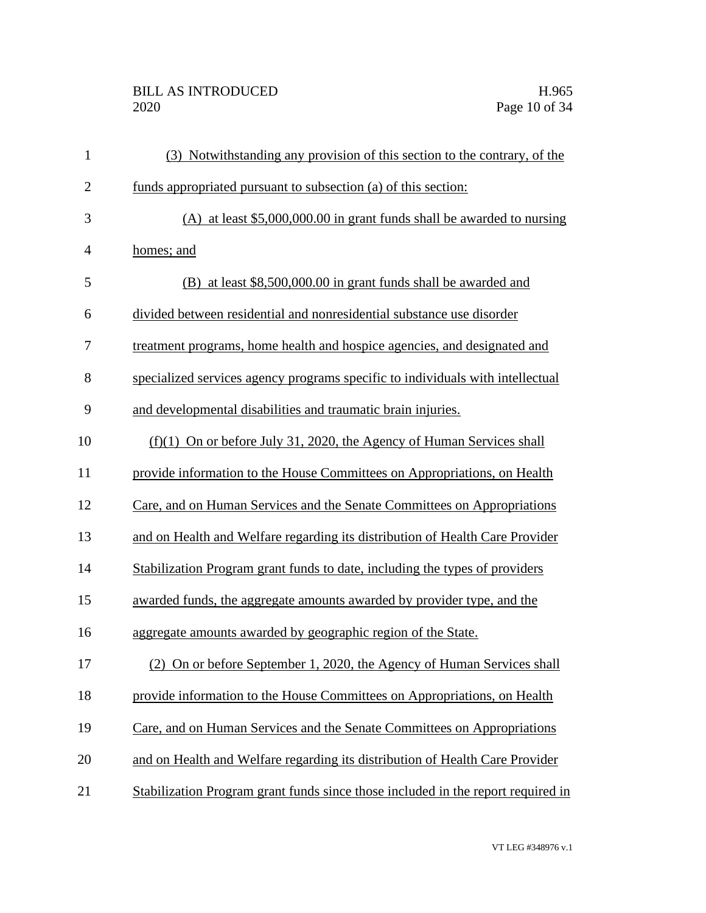## BILL AS INTRODUCED H.965<br>2020 Page 10 of 34

| $\mathbf{1}$   | (3) Notwithstanding any provision of this section to the contrary, of the        |
|----------------|----------------------------------------------------------------------------------|
| $\mathbf{2}$   | funds appropriated pursuant to subsection (a) of this section:                   |
| 3              | (A) at least $$5,000,000.00$ in grant funds shall be awarded to nursing          |
| $\overline{4}$ | homes; and                                                                       |
| 5              | (B) at least \$8,500,000.00 in grant funds shall be awarded and                  |
| 6              | divided between residential and nonresidential substance use disorder            |
| 7              | treatment programs, home health and hospice agencies, and designated and         |
| 8              | specialized services agency programs specific to individuals with intellectual   |
| 9              | and developmental disabilities and traumatic brain injuries.                     |
| 10             | $(f)(1)$ On or before July 31, 2020, the Agency of Human Services shall          |
| 11             | provide information to the House Committees on Appropriations, on Health         |
| 12             | Care, and on Human Services and the Senate Committees on Appropriations          |
| 13             | and on Health and Welfare regarding its distribution of Health Care Provider     |
| 14             | Stabilization Program grant funds to date, including the types of providers      |
| 15             | awarded funds, the aggregate amounts awarded by provider type, and the           |
| 16             | aggregate amounts awarded by geographic region of the State.                     |
| 17             | (2) On or before September 1, 2020, the Agency of Human Services shall           |
| 18             | provide information to the House Committees on Appropriations, on Health         |
| 19             | Care, and on Human Services and the Senate Committees on Appropriations          |
| 20             | and on Health and Welfare regarding its distribution of Health Care Provider     |
| 21             | Stabilization Program grant funds since those included in the report required in |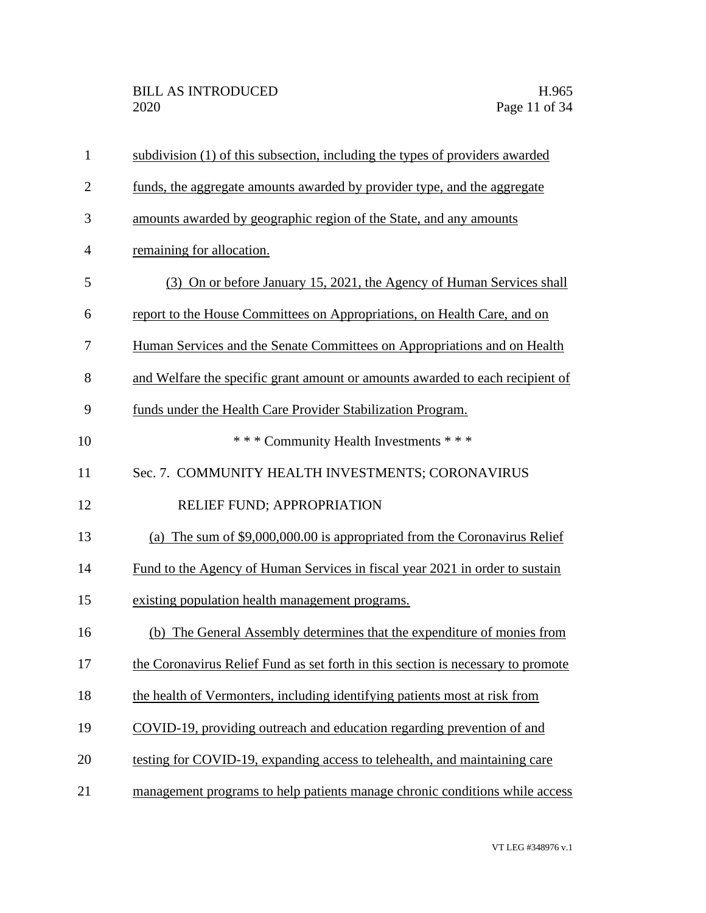| $\mathbf{1}$   | subdivision (1) of this subsection, including the types of providers awarded     |
|----------------|----------------------------------------------------------------------------------|
| $\overline{2}$ | funds, the aggregate amounts awarded by provider type, and the aggregate         |
| 3              | amounts awarded by geographic region of the State, and any amounts               |
| $\overline{4}$ | remaining for allocation.                                                        |
| 5              | (3) On or before January 15, 2021, the Agency of Human Services shall            |
| 6              | report to the House Committees on Appropriations, on Health Care, and on         |
| 7              | Human Services and the Senate Committees on Appropriations and on Health         |
| 8              | and Welfare the specific grant amount or amounts awarded to each recipient of    |
| 9              | funds under the Health Care Provider Stabilization Program.                      |
| 10             | *** Community Health Investments ***                                             |
| 11             | Sec. 7. COMMUNITY HEALTH INVESTMENTS; CORONAVIRUS                                |
| 12             | RELIEF FUND; APPROPRIATION                                                       |
| 13             | (a) The sum of \$9,000,000.00 is appropriated from the Coronavirus Relief        |
| 14             | Fund to the Agency of Human Services in fiscal year 2021 in order to sustain     |
| 15             | existing population health management programs.                                  |
| 16             | (b) The General Assembly determines that the expenditure of monies from          |
| 17             | the Coronavirus Relief Fund as set forth in this section is necessary to promote |
| 18             | the health of Vermonters, including identifying patients most at risk from       |
| 19             | COVID-19, providing outreach and education regarding prevention of and           |
| 20             | testing for COVID-19, expanding access to telehealth, and maintaining care       |
| 21             | management programs to help patients manage chronic conditions while access      |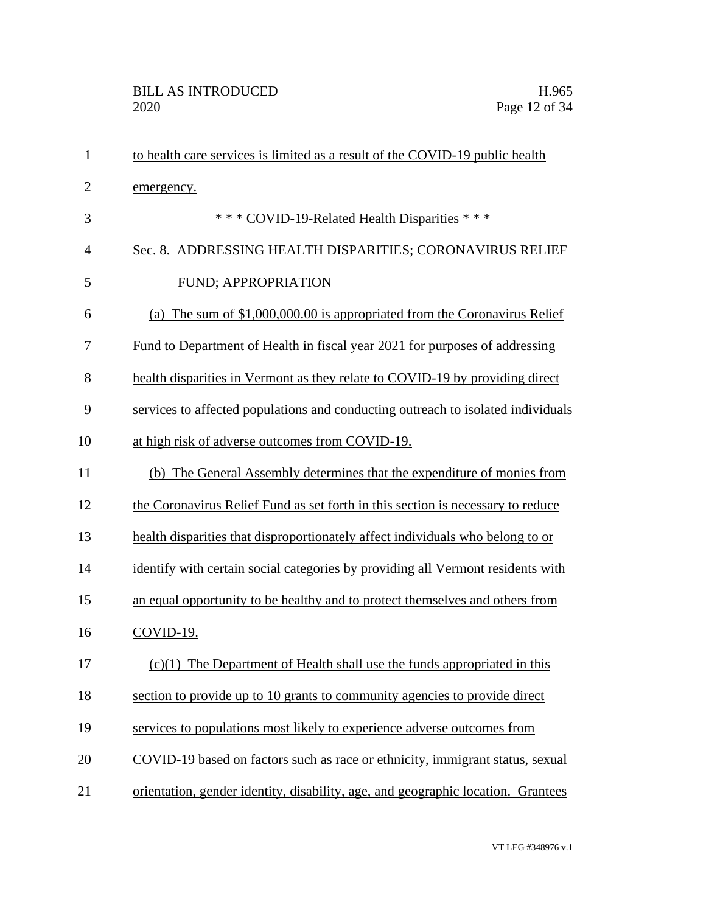| $\mathbf{1}$   | to health care services is limited as a result of the COVID-19 public health     |
|----------------|----------------------------------------------------------------------------------|
| $\overline{2}$ | emergency.                                                                       |
| 3              | *** COVID-19-Related Health Disparities ***                                      |
| $\overline{4}$ | Sec. 8. ADDRESSING HEALTH DISPARITIES; CORONAVIRUS RELIEF                        |
| 5              | FUND; APPROPRIATION                                                              |
| 6              | (a) The sum of \$1,000,000.00 is appropriated from the Coronavirus Relief        |
| 7              | Fund to Department of Health in fiscal year 2021 for purposes of addressing      |
| 8              | health disparities in Vermont as they relate to COVID-19 by providing direct     |
| 9              | services to affected populations and conducting outreach to isolated individuals |
| 10             | at high risk of adverse outcomes from COVID-19.                                  |
| 11             | (b) The General Assembly determines that the expenditure of monies from          |
| 12             | the Coronavirus Relief Fund as set forth in this section is necessary to reduce  |
| 13             | health disparities that disproportionately affect individuals who belong to or   |
| 14             | identify with certain social categories by providing all Vermont residents with  |
| 15             | an equal opportunity to be healthy and to protect themselves and others from     |
| 16             | COVID-19.                                                                        |
| 17             | $(c)(1)$ The Department of Health shall use the funds appropriated in this       |
| 18             | section to provide up to 10 grants to community agencies to provide direct       |
| 19             | services to populations most likely to experience adverse outcomes from          |
| 20             | COVID-19 based on factors such as race or ethnicity, immigrant status, sexual    |
| 21             | orientation, gender identity, disability, age, and geographic location. Grantees |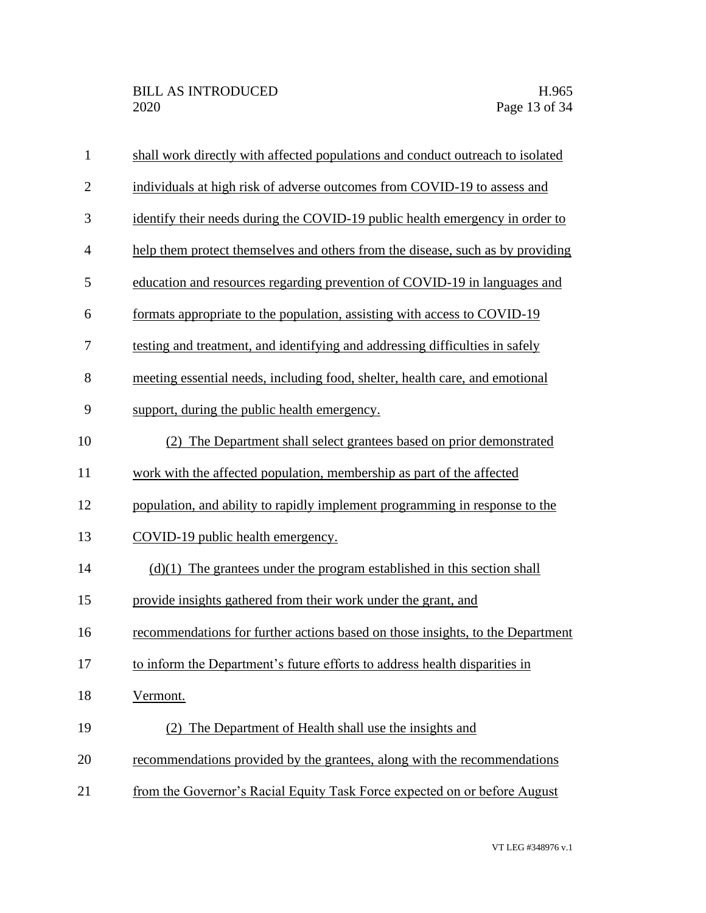| $\mathbf{1}$   | shall work directly with affected populations and conduct outreach to isolated |
|----------------|--------------------------------------------------------------------------------|
| $\overline{2}$ | individuals at high risk of adverse outcomes from COVID-19 to assess and       |
| $\mathfrak{Z}$ | identify their needs during the COVID-19 public health emergency in order to   |
| $\overline{4}$ | help them protect themselves and others from the disease, such as by providing |
| 5              | education and resources regarding prevention of COVID-19 in languages and      |
| 6              | formats appropriate to the population, assisting with access to COVID-19       |
| 7              | testing and treatment, and identifying and addressing difficulties in safely   |
| 8              | meeting essential needs, including food, shelter, health care, and emotional   |
| 9              | support, during the public health emergency.                                   |
| 10             | (2) The Department shall select grantees based on prior demonstrated           |
| 11             | work with the affected population, membership as part of the affected          |
| 12             | population, and ability to rapidly implement programming in response to the    |
| 13             | COVID-19 public health emergency.                                              |
| 14             | $(d)(1)$ The grantees under the program established in this section shall      |
| 15             | provide insights gathered from their work under the grant, and                 |
| 16             | recommendations for further actions based on those insights, to the Department |
| 17             | to inform the Department's future efforts to address health disparities in     |
| 18             | Vermont.                                                                       |
| 19             | (2) The Department of Health shall use the insights and                        |
| 20             | recommendations provided by the grantees, along with the recommendations       |
| 21             | from the Governor's Racial Equity Task Force expected on or before August      |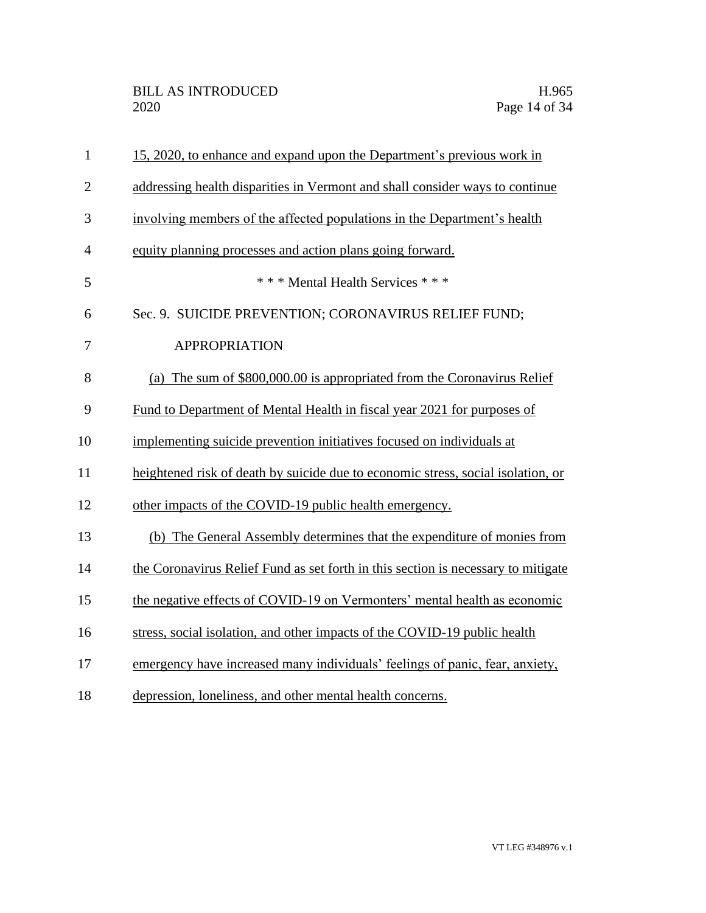| $\mathbf{1}$   | 15, 2020, to enhance and expand upon the Department's previous work in            |
|----------------|-----------------------------------------------------------------------------------|
| $\overline{2}$ | addressing health disparities in Vermont and shall consider ways to continue      |
| 3              | involving members of the affected populations in the Department's health          |
| $\overline{4}$ | equity planning processes and action plans going forward.                         |
| 5              | *** Mental Health Services ***                                                    |
| 6              | Sec. 9. SUICIDE PREVENTION; CORONAVIRUS RELIEF FUND;                              |
| 7              | <b>APPROPRIATION</b>                                                              |
| 8              | (a) The sum of \$800,000.00 is appropriated from the Coronavirus Relief           |
| 9              | Fund to Department of Mental Health in fiscal year 2021 for purposes of           |
| 10             | implementing suicide prevention initiatives focused on individuals at             |
| 11             | heightened risk of death by suicide due to economic stress, social isolation, or  |
| 12             | other impacts of the COVID-19 public health emergency.                            |
| 13             | (b) The General Assembly determines that the expenditure of monies from           |
| 14             | the Coronavirus Relief Fund as set forth in this section is necessary to mitigate |
| 15             | the negative effects of COVID-19 on Vermonters' mental health as economic         |
| 16             | stress, social isolation, and other impacts of the COVID-19 public health         |
| 17             | emergency have increased many individuals' feelings of panic, fear, anxiety,      |
| 18             | depression, loneliness, and other mental health concerns.                         |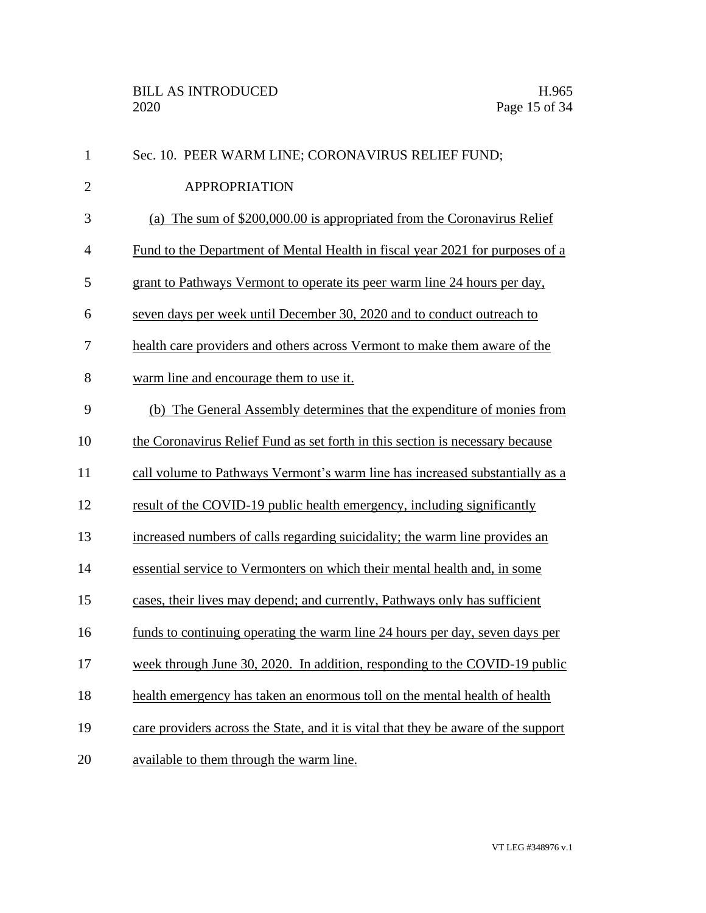| $\mathbf{1}$   | Sec. 10. PEER WARM LINE; CORONAVIRUS RELIEF FUND;                                  |
|----------------|------------------------------------------------------------------------------------|
| $\overline{2}$ | <b>APPROPRIATION</b>                                                               |
| 3              | (a) The sum of \$200,000.00 is appropriated from the Coronavirus Relief            |
| $\overline{4}$ | Fund to the Department of Mental Health in fiscal year 2021 for purposes of a      |
| 5              | grant to Pathways Vermont to operate its peer warm line 24 hours per day,          |
| 6              | seven days per week until December 30, 2020 and to conduct outreach to             |
| 7              | health care providers and others across Vermont to make them aware of the          |
| 8              | warm line and encourage them to use it.                                            |
| 9              | (b) The General Assembly determines that the expenditure of monies from            |
| 10             | the Coronavirus Relief Fund as set forth in this section is necessary because      |
| 11             | call volume to Pathways Vermont's warm line has increased substantially as a       |
| 12             | result of the COVID-19 public health emergency, including significantly            |
| 13             | increased numbers of calls regarding suicidality; the warm line provides an        |
| 14             | essential service to Vermonters on which their mental health and, in some          |
| 15             | cases, their lives may depend; and currently, Pathways only has sufficient         |
| 16             | funds to continuing operating the warm line 24 hours per day, seven days per       |
| 17             | week through June 30, 2020. In addition, responding to the COVID-19 public         |
| 18             | health emergency has taken an enormous toll on the mental health of health         |
| 19             | care providers across the State, and it is vital that they be aware of the support |
| 20             | available to them through the warm line.                                           |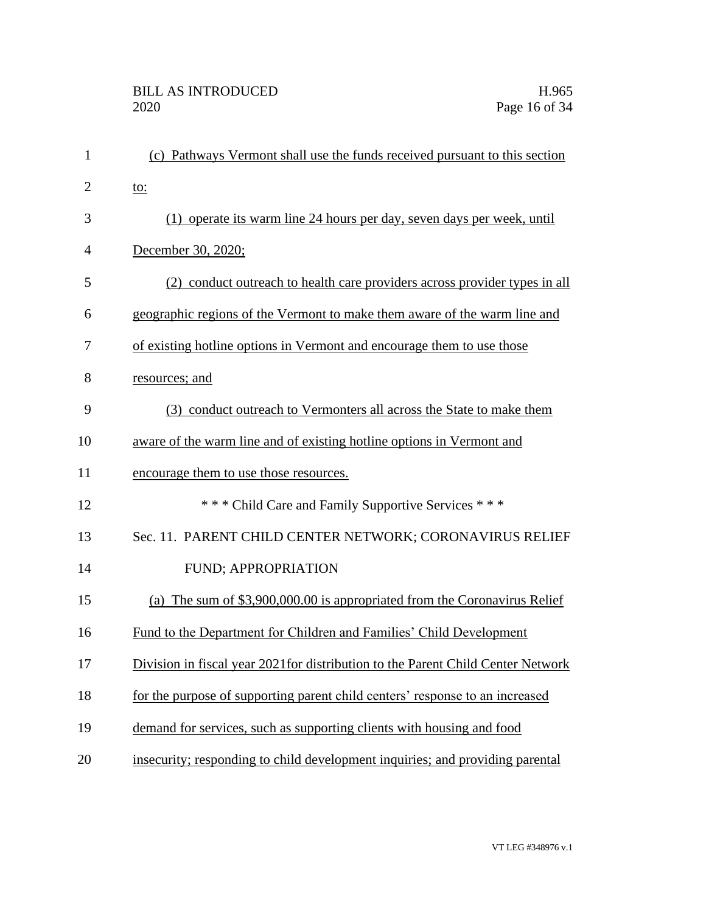| $\mathbf{1}$   | (c) Pathways Vermont shall use the funds received pursuant to this section       |
|----------------|----------------------------------------------------------------------------------|
| $\overline{2}$ | <u>to:</u>                                                                       |
| 3              | (1) operate its warm line 24 hours per day, seven days per week, until           |
| $\overline{4}$ | December 30, 2020;                                                               |
| 5              | (2) conduct outreach to health care providers across provider types in all       |
| 6              | geographic regions of the Vermont to make them aware of the warm line and        |
| 7              | of existing hotline options in Vermont and encourage them to use those           |
| 8              | resources; and                                                                   |
| 9              | (3) conduct outreach to Vermonters all across the State to make them             |
| 10             | aware of the warm line and of existing hotline options in Vermont and            |
| 11             | encourage them to use those resources.                                           |
| 12             | *** Child Care and Family Supportive Services ***                                |
| 13             | Sec. 11. PARENT CHILD CENTER NETWORK; CORONAVIRUS RELIEF                         |
| 14             | <b>FUND; APPROPRIATION</b>                                                       |
| 15             | (a) The sum of \$3,900,000.00 is appropriated from the Coronavirus Relief        |
| 16             | Fund to the Department for Children and Families' Child Development              |
| 17             | Division in fiscal year 2021 for distribution to the Parent Child Center Network |
| 18             | for the purpose of supporting parent child centers' response to an increased     |
| 19             | demand for services, such as supporting clients with housing and food            |
| 20             | insecurity; responding to child development inquiries; and providing parental    |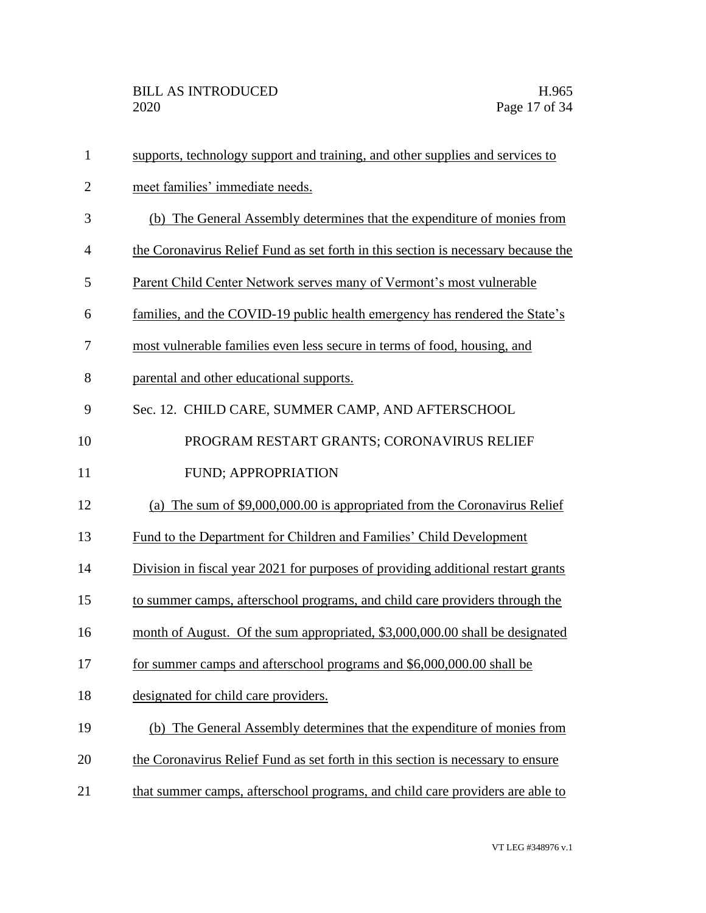| $\mathbf{1}$   | supports, technology support and training, and other supplies and services to     |
|----------------|-----------------------------------------------------------------------------------|
| $\overline{2}$ | meet families' immediate needs.                                                   |
| 3              | (b) The General Assembly determines that the expenditure of monies from           |
| 4              | the Coronavirus Relief Fund as set forth in this section is necessary because the |
| 5              | Parent Child Center Network serves many of Vermont's most vulnerable              |
| 6              | families, and the COVID-19 public health emergency has rendered the State's       |
| 7              | most vulnerable families even less secure in terms of food, housing, and          |
| 8              | parental and other educational supports.                                          |
| 9              | Sec. 12. CHILD CARE, SUMMER CAMP, AND AFTERSCHOOL                                 |
| 10             | PROGRAM RESTART GRANTS; CORONAVIRUS RELIEF                                        |
| 11             | FUND; APPROPRIATION                                                               |
| 12             | The sum of \$9,000,000.00 is appropriated from the Coronavirus Relief<br>(a)      |
| 13             | Fund to the Department for Children and Families' Child Development               |
| 14             | Division in fiscal year 2021 for purposes of providing additional restart grants  |
| 15             | to summer camps, afterschool programs, and child care providers through the       |
| 16             | month of August. Of the sum appropriated, \$3,000,000.00 shall be designated      |
| 17             | for summer camps and afterschool programs and \$6,000,000.00 shall be             |
| 18             | designated for child care providers.                                              |
| 19             | (b) The General Assembly determines that the expenditure of monies from           |
| 20             | the Coronavirus Relief Fund as set forth in this section is necessary to ensure   |
| 21             | that summer camps, afterschool programs, and child care providers are able to     |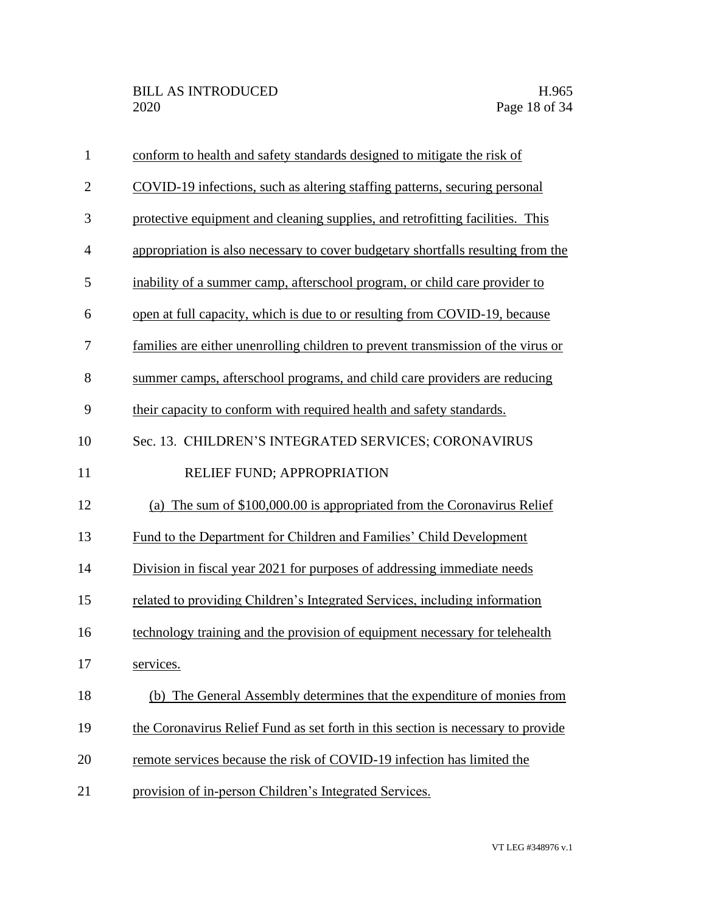| $\mathbf{1}$   | conform to health and safety standards designed to mitigate the risk of          |
|----------------|----------------------------------------------------------------------------------|
| $\overline{2}$ | COVID-19 infections, such as altering staffing patterns, securing personal       |
| 3              | protective equipment and cleaning supplies, and retrofitting facilities. This    |
| $\overline{4}$ | appropriation is also necessary to cover budgetary shortfalls resulting from the |
| 5              | inability of a summer camp, afterschool program, or child care provider to       |
| 6              | open at full capacity, which is due to or resulting from COVID-19, because       |
| 7              | families are either unenrolling children to prevent transmission of the virus or |
| 8              | summer camps, afterschool programs, and child care providers are reducing        |
| 9              | their capacity to conform with required health and safety standards.             |
| 10             | Sec. 13. CHILDREN'S INTEGRATED SERVICES; CORONAVIRUS                             |
| 11             | RELIEF FUND; APPROPRIATION                                                       |
| 12             | (a) The sum of \$100,000.00 is appropriated from the Coronavirus Relief          |
| 13             | Fund to the Department for Children and Families' Child Development              |
| 14             | Division in fiscal year 2021 for purposes of addressing immediate needs          |
| 15             | related to providing Children's Integrated Services, including information       |
| 16             | technology training and the provision of equipment necessary for telehealth      |
| 17             | services.                                                                        |
| 18             | (b) The General Assembly determines that the expenditure of monies from          |
| 19             | the Coronavirus Relief Fund as set forth in this section is necessary to provide |
| 20             | remote services because the risk of COVID-19 infection has limited the           |
| 21             | provision of in-person Children's Integrated Services.                           |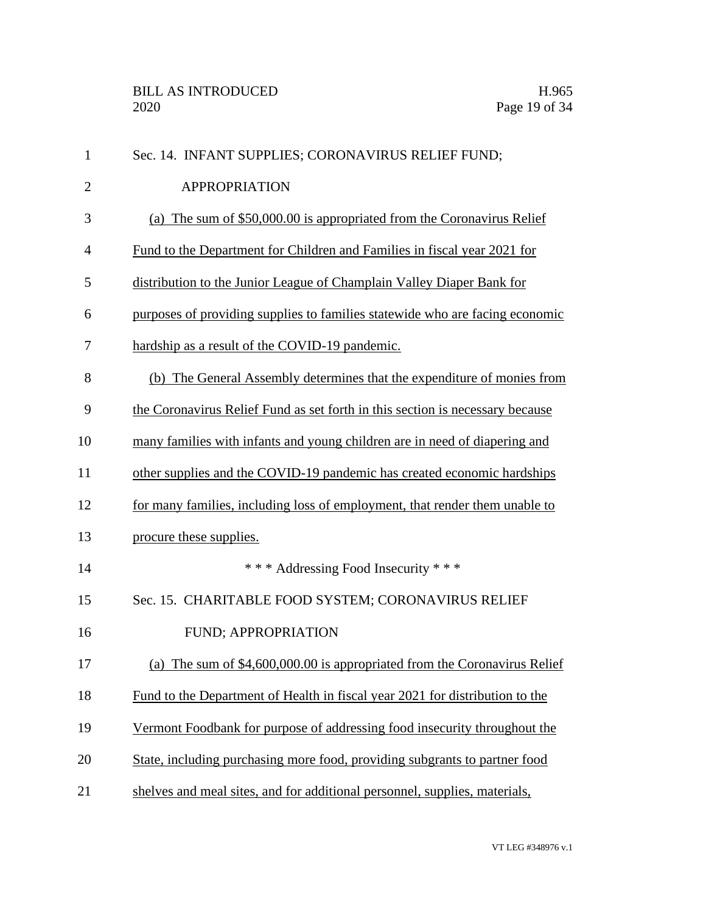| $\mathbf{1}$   | Sec. 14. INFANT SUPPLIES; CORONAVIRUS RELIEF FUND;                            |
|----------------|-------------------------------------------------------------------------------|
| $\overline{2}$ | <b>APPROPRIATION</b>                                                          |
| 3              | (a) The sum of \$50,000.00 is appropriated from the Coronavirus Relief        |
| $\overline{4}$ | Fund to the Department for Children and Families in fiscal year 2021 for      |
| 5              | distribution to the Junior League of Champlain Valley Diaper Bank for         |
| 6              | purposes of providing supplies to families statewide who are facing economic  |
| 7              | hardship as a result of the COVID-19 pandemic.                                |
| 8              | (b) The General Assembly determines that the expenditure of monies from       |
| 9              | the Coronavirus Relief Fund as set forth in this section is necessary because |
| 10             | many families with infants and young children are in need of diapering and    |
| 11             | other supplies and the COVID-19 pandemic has created economic hardships       |
| 12             | for many families, including loss of employment, that render them unable to   |
| 13             | procure these supplies.                                                       |
| 14             | *** Addressing Food Insecurity ***                                            |
| 15             | Sec. 15. CHARITABLE FOOD SYSTEM; CORONAVIRUS RELIEF                           |
| 16             | FUND; APPROPRIATION                                                           |
| 17             | (a) The sum of $$4,600,000.00$ is appropriated from the Coronavirus Relief    |
| 18             | Fund to the Department of Health in fiscal year 2021 for distribution to the  |
| 19             | Vermont Foodbank for purpose of addressing food insecurity throughout the     |
| 20             | State, including purchasing more food, providing subgrants to partner food    |
| 21             | shelves and meal sites, and for additional personnel, supplies, materials,    |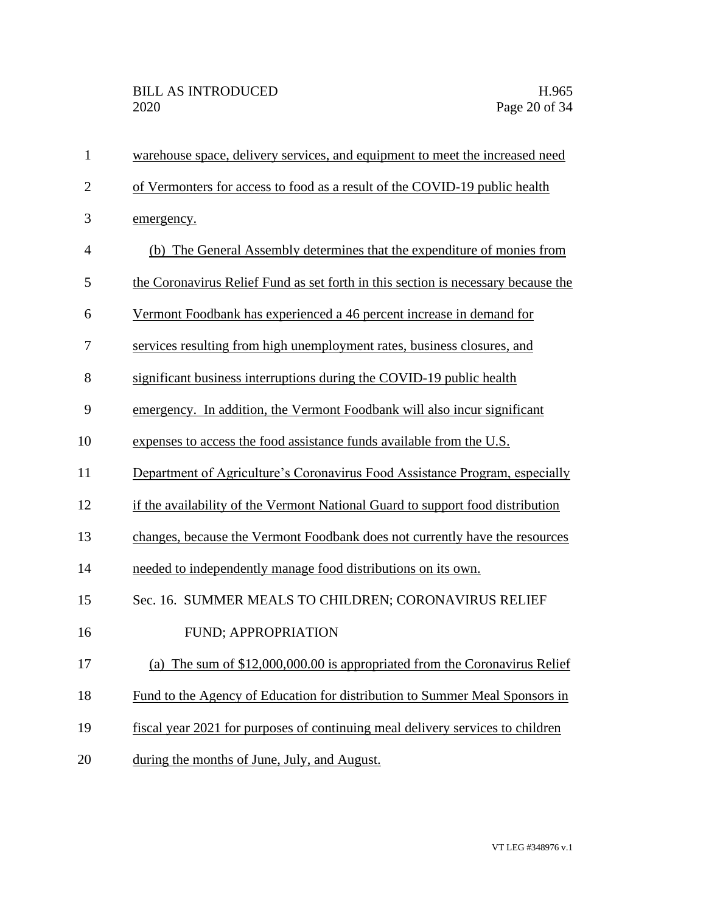| $\mathbf{1}$   | warehouse space, delivery services, and equipment to meet the increased need      |
|----------------|-----------------------------------------------------------------------------------|
| $\overline{2}$ | of Vermonters for access to food as a result of the COVID-19 public health        |
| 3              | emergency.                                                                        |
| $\overline{4}$ | (b) The General Assembly determines that the expenditure of monies from           |
| 5              | the Coronavirus Relief Fund as set forth in this section is necessary because the |
| 6              | Vermont Foodbank has experienced a 46 percent increase in demand for              |
| 7              | services resulting from high unemployment rates, business closures, and           |
| 8              | significant business interruptions during the COVID-19 public health              |
| 9              | emergency. In addition, the Vermont Foodbank will also incur significant          |
| 10             | expenses to access the food assistance funds available from the U.S.              |
| 11             | Department of Agriculture's Coronavirus Food Assistance Program, especially       |
| 12             | if the availability of the Vermont National Guard to support food distribution    |
| 13             | changes, because the Vermont Foodbank does not currently have the resources       |
| 14             | needed to independently manage food distributions on its own.                     |
| 15             | Sec. 16. SUMMER MEALS TO CHILDREN; CORONAVIRUS RELIEF                             |
| 16             | FUND; APPROPRIATION                                                               |
| 17             | (a) The sum of \$12,000,000.00 is appropriated from the Coronavirus Relief        |
| 18             | Fund to the Agency of Education for distribution to Summer Meal Sponsors in       |
| 19             | fiscal year 2021 for purposes of continuing meal delivery services to children    |
| 20             | during the months of June, July, and August.                                      |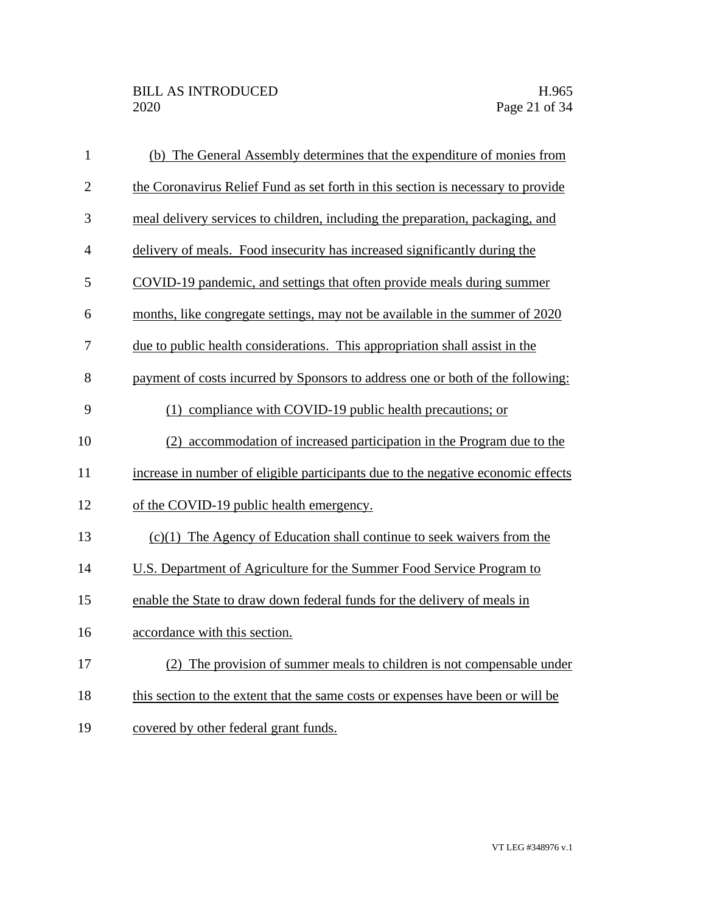| $\mathbf{1}$   | (b) The General Assembly determines that the expenditure of monies from          |
|----------------|----------------------------------------------------------------------------------|
| $\overline{2}$ | the Coronavirus Relief Fund as set forth in this section is necessary to provide |
| 3              | meal delivery services to children, including the preparation, packaging, and    |
| $\overline{4}$ | delivery of meals. Food insecurity has increased significantly during the        |
| 5              | COVID-19 pandemic, and settings that often provide meals during summer           |
| 6              | months, like congregate settings, may not be available in the summer of 2020     |
| 7              | due to public health considerations. This appropriation shall assist in the      |
| 8              | payment of costs incurred by Sponsors to address one or both of the following:   |
| 9              | (1) compliance with COVID-19 public health precautions; or                       |
| 10             | accommodation of increased participation in the Program due to the<br>(2)        |
| 11             | increase in number of eligible participants due to the negative economic effects |
| 12             | of the COVID-19 public health emergency.                                         |
| 13             | $(c)(1)$ The Agency of Education shall continue to seek waivers from the         |
| 14             | U.S. Department of Agriculture for the Summer Food Service Program to            |
| 15             | enable the State to draw down federal funds for the delivery of meals in         |
| 16             | accordance with this section.                                                    |
| 17             | (2) The provision of summer meals to children is not compensable under           |
| 18             | this section to the extent that the same costs or expenses have been or will be  |
| 19             | covered by other federal grant funds.                                            |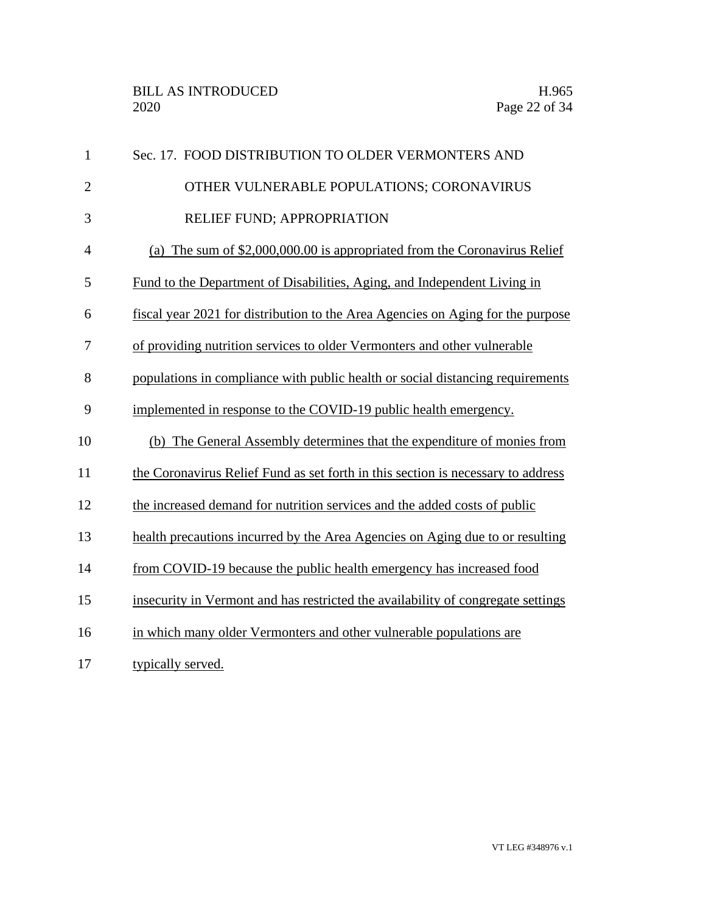| $\mathbf{1}$   | Sec. 17. FOOD DISTRIBUTION TO OLDER VERMONTERS AND                               |
|----------------|----------------------------------------------------------------------------------|
| $\overline{2}$ | OTHER VULNERABLE POPULATIONS; CORONAVIRUS                                        |
| 3              | RELIEF FUND; APPROPRIATION                                                       |
| $\overline{4}$ | (a) The sum of $$2,000,000.00$ is appropriated from the Coronavirus Relief       |
| 5              | Fund to the Department of Disabilities, Aging, and Independent Living in         |
| 6              | fiscal year 2021 for distribution to the Area Agencies on Aging for the purpose  |
| 7              | of providing nutrition services to older Vermonters and other vulnerable         |
| 8              | populations in compliance with public health or social distancing requirements   |
| 9              | implemented in response to the COVID-19 public health emergency.                 |
| 10             | (b) The General Assembly determines that the expenditure of monies from          |
| 11             | the Coronavirus Relief Fund as set forth in this section is necessary to address |
| 12             | the increased demand for nutrition services and the added costs of public        |
| 13             | health precautions incurred by the Area Agencies on Aging due to or resulting    |
| 14             | from COVID-19 because the public health emergency has increased food             |
| 15             | insecurity in Vermont and has restricted the availability of congregate settings |
| 16             | in which many older Vermonters and other vulnerable populations are              |
| 17             | typically served.                                                                |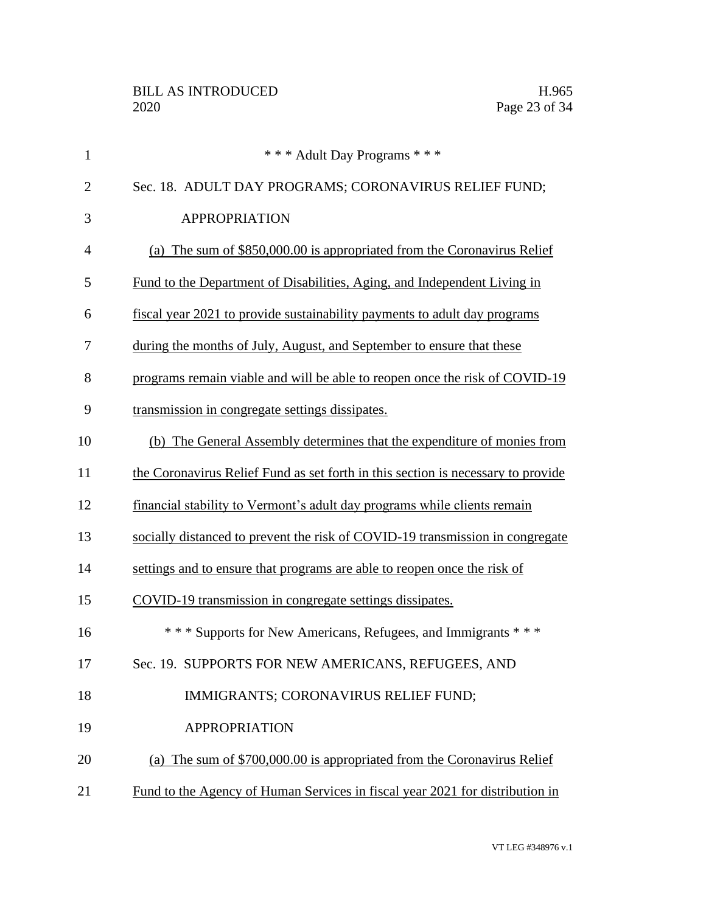| $\mathbf{1}$   | *** Adult Day Programs ***                                                       |
|----------------|----------------------------------------------------------------------------------|
| $\overline{2}$ | Sec. 18. ADULT DAY PROGRAMS; CORONAVIRUS RELIEF FUND;                            |
| 3              | <b>APPROPRIATION</b>                                                             |
| 4              | (a) The sum of \$850,000.00 is appropriated from the Coronavirus Relief          |
| 5              | Fund to the Department of Disabilities, Aging, and Independent Living in         |
| 6              | fiscal year 2021 to provide sustainability payments to adult day programs        |
| 7              | during the months of July, August, and September to ensure that these            |
| 8              | programs remain viable and will be able to reopen once the risk of COVID-19      |
| 9              | transmission in congregate settings dissipates.                                  |
| 10             | (b) The General Assembly determines that the expenditure of monies from          |
| 11             | the Coronavirus Relief Fund as set forth in this section is necessary to provide |
| 12             | financial stability to Vermont's adult day programs while clients remain         |
| 13             | socially distanced to prevent the risk of COVID-19 transmission in congregate    |
| 14             | settings and to ensure that programs are able to reopen once the risk of         |
| 15             | COVID-19 transmission in congregate settings dissipates.                         |
| 16             | *** Supports for New Americans, Refugees, and Immigrants ***                     |
| 17             | Sec. 19. SUPPORTS FOR NEW AMERICANS, REFUGEES, AND                               |
| 18             | IMMIGRANTS; CORONAVIRUS RELIEF FUND;                                             |
| 19             | <b>APPROPRIATION</b>                                                             |
| 20             | (a) The sum of \$700,000.00 is appropriated from the Coronavirus Relief          |
| 21             | Fund to the Agency of Human Services in fiscal year 2021 for distribution in     |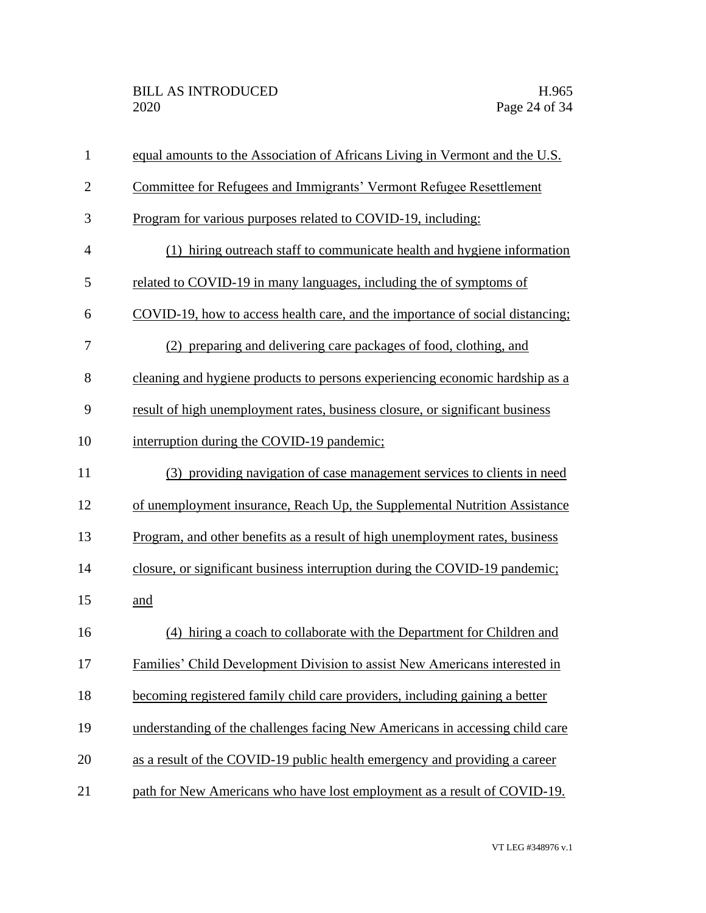| $\mathbf{1}$   | equal amounts to the Association of Africans Living in Vermont and the U.S.   |
|----------------|-------------------------------------------------------------------------------|
| $\overline{2}$ | Committee for Refugees and Immigrants' Vermont Refugee Resettlement           |
| 3              | Program for various purposes related to COVID-19, including:                  |
| $\overline{4}$ | (1) hiring outreach staff to communicate health and hygiene information       |
| 5              | related to COVID-19 in many languages, including the of symptoms of           |
| 6              | COVID-19, how to access health care, and the importance of social distancing; |
| 7              | (2) preparing and delivering care packages of food, clothing, and             |
| 8              | cleaning and hygiene products to persons experiencing economic hardship as a  |
| 9              | result of high unemployment rates, business closure, or significant business  |
| 10             | interruption during the COVID-19 pandemic;                                    |
| 11             | (3) providing navigation of case management services to clients in need       |
| 12             | of unemployment insurance, Reach Up, the Supplemental Nutrition Assistance    |
| 13             | Program, and other benefits as a result of high unemployment rates, business  |
| 14             | closure, or significant business interruption during the COVID-19 pandemic;   |
| 15             | and                                                                           |
| 16             | (4) hiring a coach to collaborate with the Department for Children and        |
| 17             | Families' Child Development Division to assist New Americans interested in    |
| 18             | becoming registered family child care providers, including gaining a better   |
| 19             | understanding of the challenges facing New Americans in accessing child care  |
| 20             | as a result of the COVID-19 public health emergency and providing a career    |
| 21             | path for New Americans who have lost employment as a result of COVID-19.      |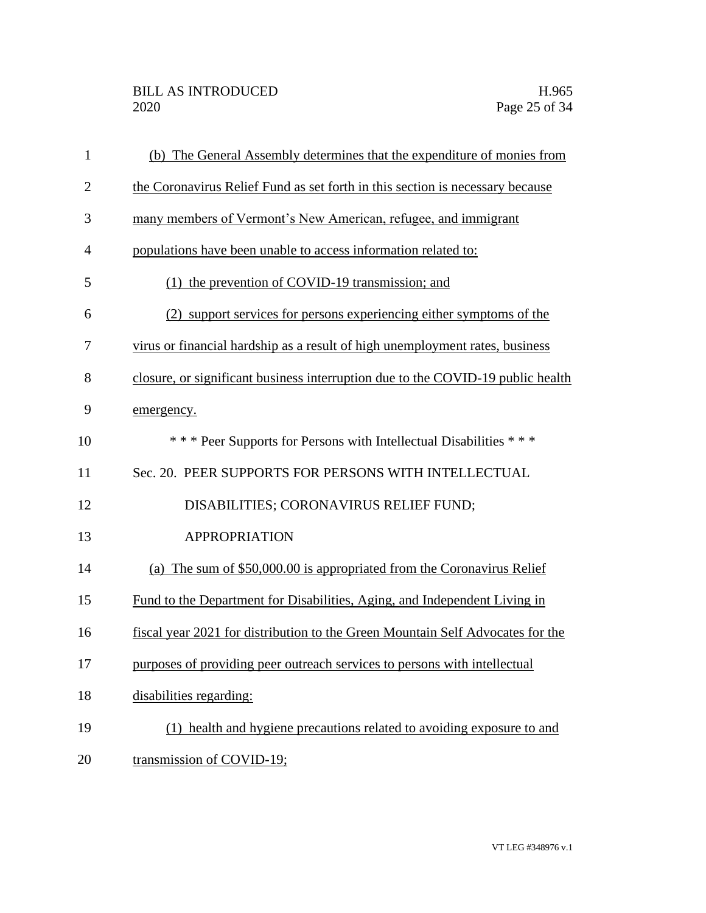| $\mathbf{1}$   | (b) The General Assembly determines that the expenditure of monies from         |
|----------------|---------------------------------------------------------------------------------|
| $\mathbf{2}$   | the Coronavirus Relief Fund as set forth in this section is necessary because   |
| 3              | many members of Vermont's New American, refugee, and immigrant                  |
| $\overline{4}$ | populations have been unable to access information related to:                  |
| 5              | (1) the prevention of COVID-19 transmission; and                                |
| 6              | (2) support services for persons experiencing either symptoms of the            |
| 7              | virus or financial hardship as a result of high unemployment rates, business    |
| 8              | closure, or significant business interruption due to the COVID-19 public health |
| 9              | emergency.                                                                      |
| 10             | *** Peer Supports for Persons with Intellectual Disabilities ***                |
| 11             | Sec. 20. PEER SUPPORTS FOR PERSONS WITH INTELLECTUAL                            |
| 12             | DISABILITIES; CORONAVIRUS RELIEF FUND;                                          |
| 13             | <b>APPROPRIATION</b>                                                            |
| 14             | (a) The sum of \$50,000.00 is appropriated from the Coronavirus Relief          |
| 15             | Fund to the Department for Disabilities, Aging, and Independent Living in       |
| 16             | fiscal year 2021 for distribution to the Green Mountain Self Advocates for the  |
| 17             | purposes of providing peer outreach services to persons with intellectual       |
| 18             | disabilities regarding:                                                         |
| 19             | (1) health and hygiene precautions related to avoiding exposure to and          |
| 20             | transmission of COVID-19;                                                       |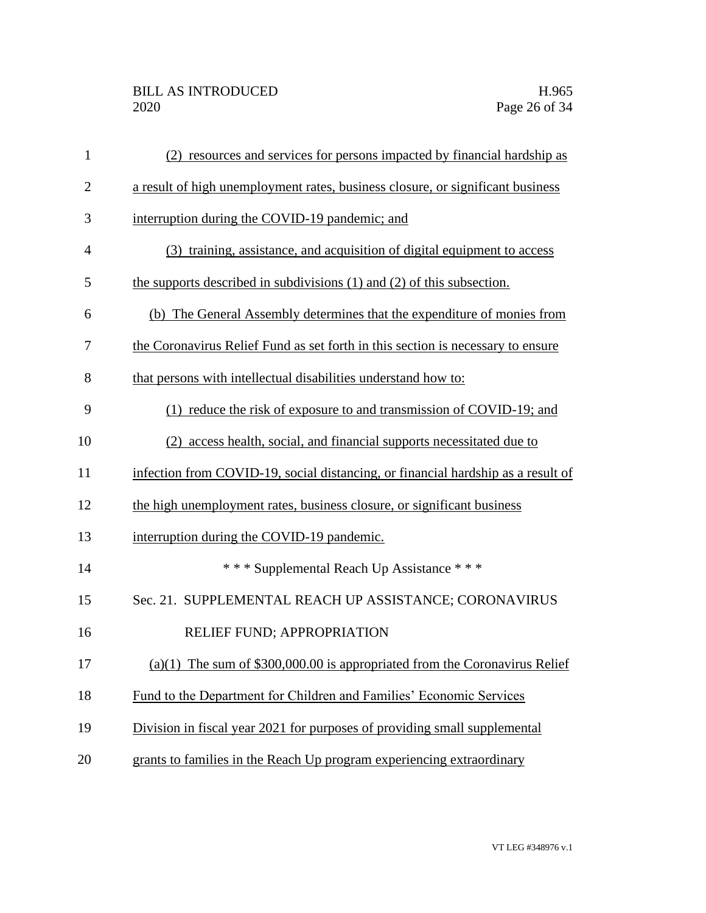| $\mathbf{1}$   | (2) resources and services for persons impacted by financial hardship as         |
|----------------|----------------------------------------------------------------------------------|
| $\overline{2}$ | a result of high unemployment rates, business closure, or significant business   |
| 3              | interruption during the COVID-19 pandemic; and                                   |
| $\overline{4}$ | (3) training, assistance, and acquisition of digital equipment to access         |
| 5              | the supports described in subdivisions (1) and (2) of this subsection.           |
| 6              | (b) The General Assembly determines that the expenditure of monies from          |
| 7              | the Coronavirus Relief Fund as set forth in this section is necessary to ensure  |
| 8              | that persons with intellectual disabilities understand how to:                   |
| 9              | (1) reduce the risk of exposure to and transmission of COVID-19; and             |
| 10             | (2) access health, social, and financial supports necessitated due to            |
| 11             | infection from COVID-19, social distancing, or financial hardship as a result of |
| 12             | the high unemployment rates, business closure, or significant business           |
| 13             | interruption during the COVID-19 pandemic.                                       |
| 14             | *** Supplemental Reach Up Assistance ***                                         |
| 15             | Sec. 21. SUPPLEMENTAL REACH UP ASSISTANCE; CORONAVIRUS                           |
| 16             | RELIEF FUND; APPROPRIATION                                                       |
| 17             | $(a)(1)$ The sum of \$300,000.00 is appropriated from the Coronavirus Relief     |
| 18             | Fund to the Department for Children and Families' Economic Services              |
| 19             | Division in fiscal year 2021 for purposes of providing small supplemental        |
| 20             | grants to families in the Reach Up program experiencing extraordinary            |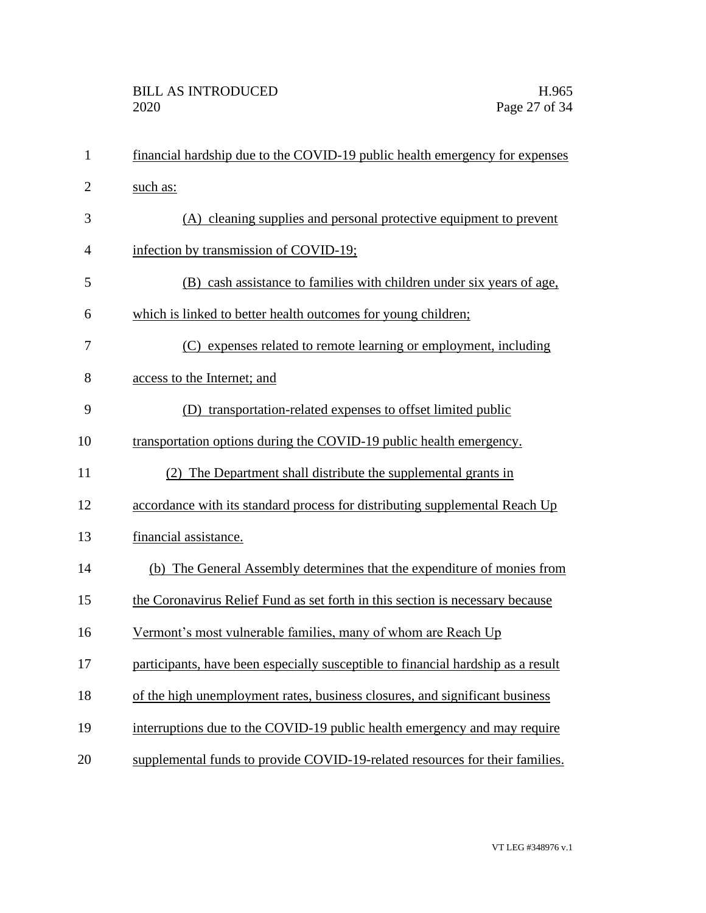| $\mathbf{1}$   | financial hardship due to the COVID-19 public health emergency for expenses      |
|----------------|----------------------------------------------------------------------------------|
| $\overline{2}$ | such as:                                                                         |
| 3              | (A) cleaning supplies and personal protective equipment to prevent               |
| $\overline{4}$ | infection by transmission of COVID-19;                                           |
| 5              | (B) cash assistance to families with children under six years of age,            |
| 6              | which is linked to better health outcomes for young children;                    |
| 7              | (C) expenses related to remote learning or employment, including                 |
| 8              | access to the Internet; and                                                      |
| 9              | (D) transportation-related expenses to offset limited public                     |
| 10             | transportation options during the COVID-19 public health emergency.              |
| 11             | (2) The Department shall distribute the supplemental grants in                   |
| 12             | accordance with its standard process for distributing supplemental Reach Up      |
| 13             | financial assistance.                                                            |
| 14             | (b) The General Assembly determines that the expenditure of monies from          |
| 15             | the Coronavirus Relief Fund as set forth in this section is necessary because    |
| 16             | Vermont's most vulnerable families, many of whom are Reach Up                    |
| 17             | participants, have been especially susceptible to financial hardship as a result |
| 18             | of the high unemployment rates, business closures, and significant business      |
| 19             | interruptions due to the COVID-19 public health emergency and may require        |
| 20             | supplemental funds to provide COVID-19-related resources for their families.     |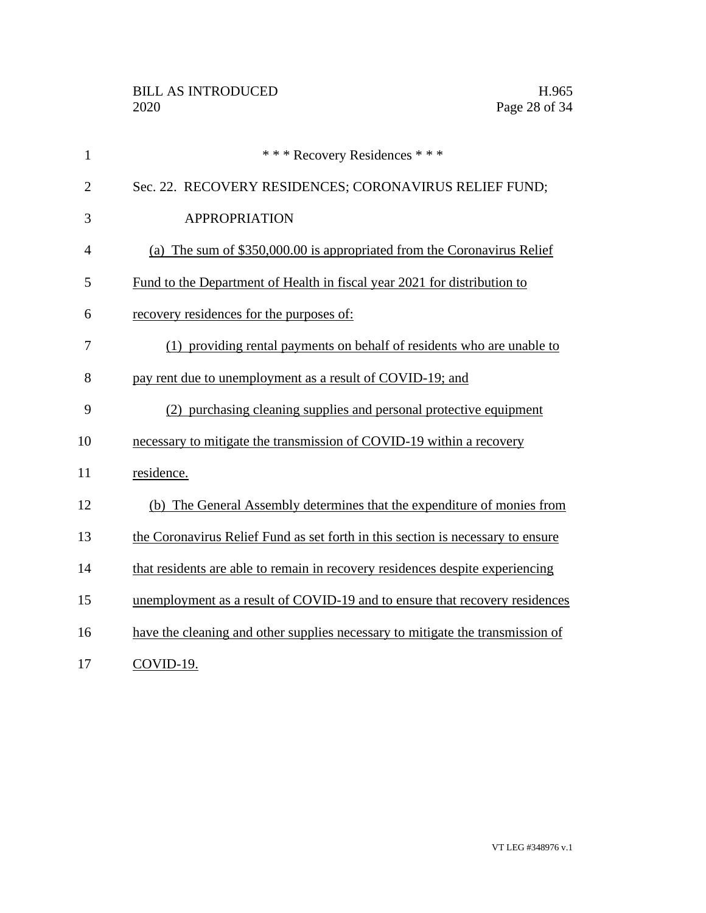| $\mathbf{1}$   | *** Recovery Residences ***                                                     |
|----------------|---------------------------------------------------------------------------------|
| $\overline{2}$ | Sec. 22. RECOVERY RESIDENCES; CORONAVIRUS RELIEF FUND;                          |
| 3              | <b>APPROPRIATION</b>                                                            |
| $\overline{4}$ | (a) The sum of \$350,000.00 is appropriated from the Coronavirus Relief         |
| 5              | Fund to the Department of Health in fiscal year 2021 for distribution to        |
| 6              | recovery residences for the purposes of:                                        |
| 7              | (1) providing rental payments on behalf of residents who are unable to          |
| 8              | pay rent due to unemployment as a result of COVID-19; and                       |
| 9              | (2) purchasing cleaning supplies and personal protective equipment              |
| 10             | necessary to mitigate the transmission of COVID-19 within a recovery            |
| 11             | residence.                                                                      |
| 12             | (b) The General Assembly determines that the expenditure of monies from         |
| 13             | the Coronavirus Relief Fund as set forth in this section is necessary to ensure |
| 14             | that residents are able to remain in recovery residences despite experiencing   |
| 15             | unemployment as a result of COVID-19 and to ensure that recovery residences     |
| 16             | have the cleaning and other supplies necessary to mitigate the transmission of  |
| 17             | COVID-19.                                                                       |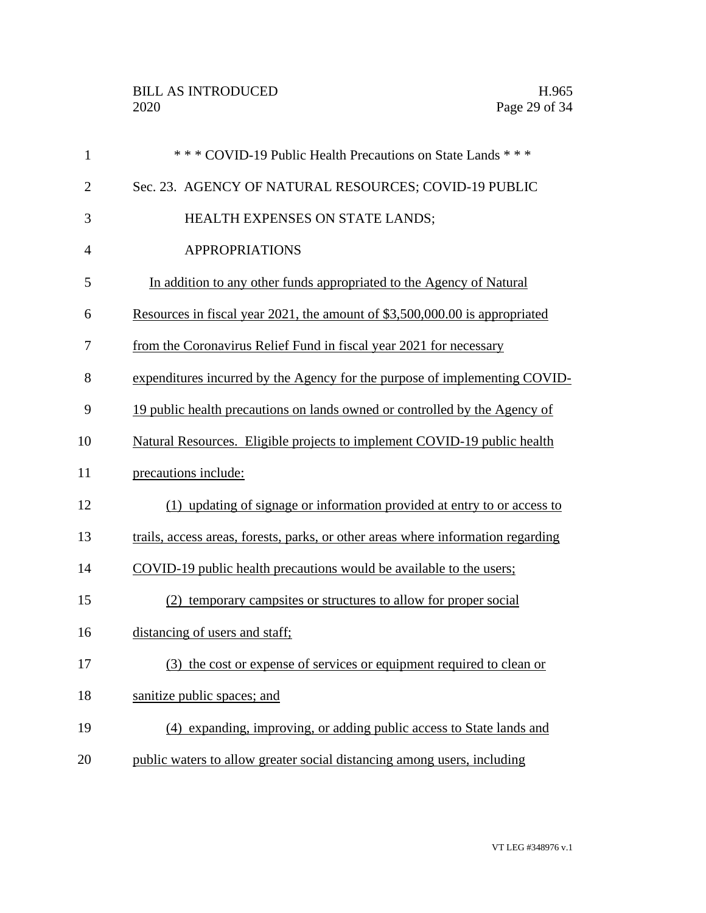| $\mathbf{1}$   | *** COVID-19 Public Health Precautions on State Lands ***                        |
|----------------|----------------------------------------------------------------------------------|
| $\overline{2}$ | Sec. 23. AGENCY OF NATURAL RESOURCES; COVID-19 PUBLIC                            |
| 3              | HEALTH EXPENSES ON STATE LANDS;                                                  |
| $\overline{4}$ | <b>APPROPRIATIONS</b>                                                            |
| 5              | In addition to any other funds appropriated to the Agency of Natural             |
| 6              | Resources in fiscal year 2021, the amount of \$3,500,000.00 is appropriated      |
| 7              | from the Coronavirus Relief Fund in fiscal year 2021 for necessary               |
| 8              | expenditures incurred by the Agency for the purpose of implementing COVID-       |
| 9              | 19 public health precautions on lands owned or controlled by the Agency of       |
| 10             | Natural Resources. Eligible projects to implement COVID-19 public health         |
| 11             | precautions include:                                                             |
| 12             | (1) updating of signage or information provided at entry to or access to         |
| 13             | trails, access areas, forests, parks, or other areas where information regarding |
| 14             | COVID-19 public health precautions would be available to the users;              |
| 15             | (2) temporary campsites or structures to allow for proper social                 |
| 16             | distancing of users and staff;                                                   |
| 17             | (3) the cost or expense of services or equipment required to clean or            |
| 18             | sanitize public spaces; and                                                      |
| 19             | (4) expanding, improving, or adding public access to State lands and             |
| 20             | public waters to allow greater social distancing among users, including          |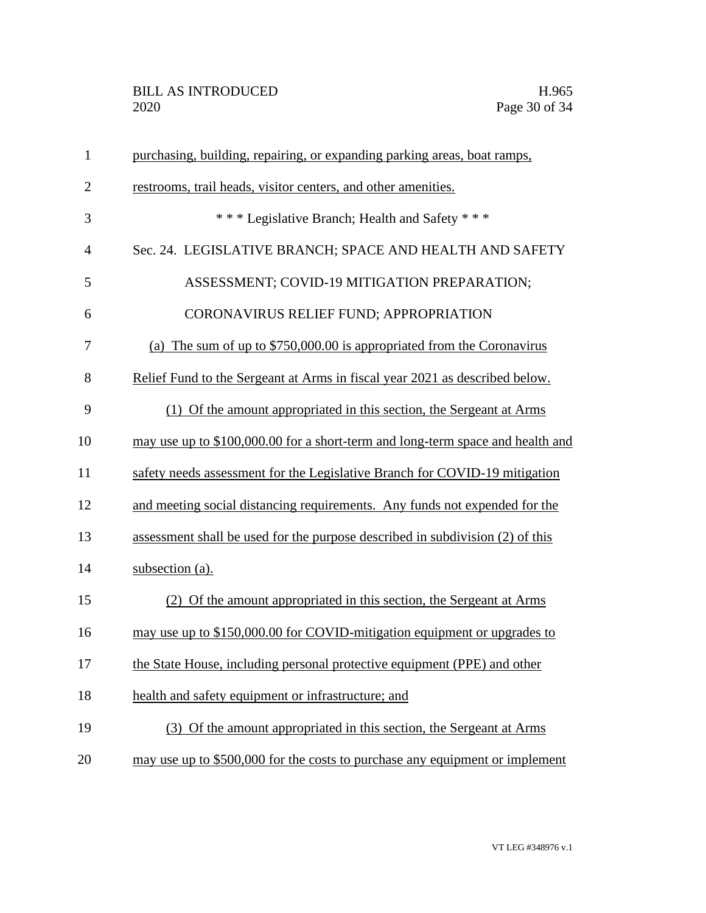| $\mathbf{1}$   | purchasing, building, repairing, or expanding parking areas, boat ramps,       |
|----------------|--------------------------------------------------------------------------------|
| $\overline{2}$ | restrooms, trail heads, visitor centers, and other amenities.                  |
| 3              | *** Legislative Branch; Health and Safety ***                                  |
| $\overline{4}$ | Sec. 24. LEGISLATIVE BRANCH; SPACE AND HEALTH AND SAFETY                       |
| 5              | ASSESSMENT; COVID-19 MITIGATION PREPARATION;                                   |
| 6              | CORONAVIRUS RELIEF FUND; APPROPRIATION                                         |
| 7              | (a) The sum of up to $$750,000.00$ is appropriated from the Coronavirus        |
| 8              | Relief Fund to the Sergeant at Arms in fiscal year 2021 as described below.    |
| 9              | (1) Of the amount appropriated in this section, the Sergeant at Arms           |
| 10             | may use up to \$100,000.00 for a short-term and long-term space and health and |
| 11             | safety needs assessment for the Legislative Branch for COVID-19 mitigation     |
| 12             | and meeting social distancing requirements. Any funds not expended for the     |
| 13             | assessment shall be used for the purpose described in subdivision (2) of this  |
| 14             | subsection (a).                                                                |
| 15             | (2) Of the amount appropriated in this section, the Sergeant at Arms           |
| 16             | may use up to \$150,000.00 for COVID-mitigation equipment or upgrades to       |
| 17             | the State House, including personal protective equipment (PPE) and other       |
| 18             | health and safety equipment or infrastructure; and                             |
| 19             | (3) Of the amount appropriated in this section, the Sergeant at Arms           |
| 20             | may use up to \$500,000 for the costs to purchase any equipment or implement   |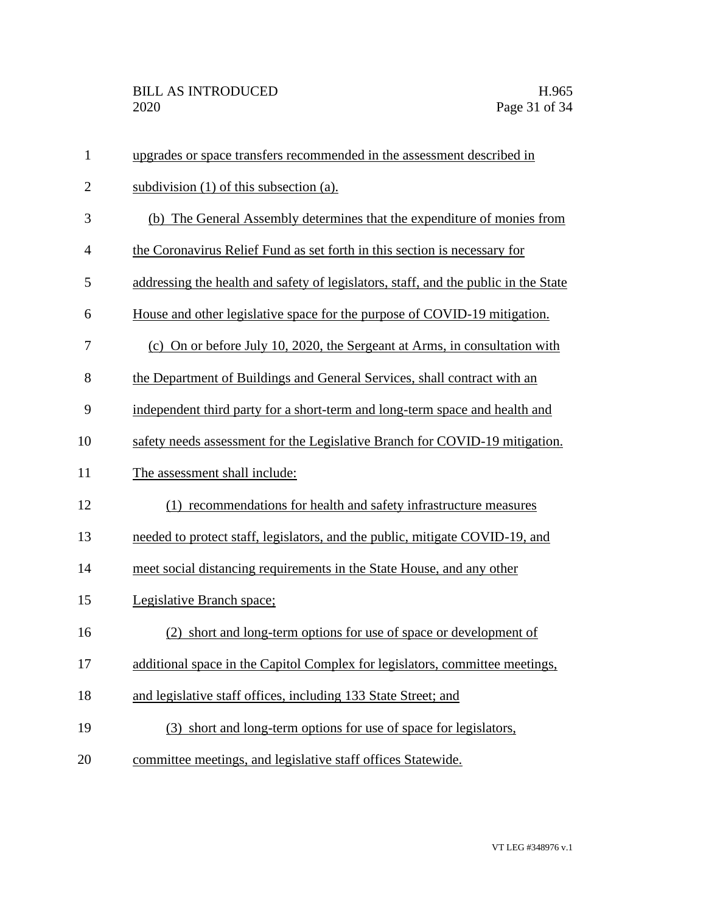| $\mathbf{1}$   | upgrades or space transfers recommended in the assessment described in              |
|----------------|-------------------------------------------------------------------------------------|
| $\overline{2}$ | subdivision $(1)$ of this subsection $(a)$ .                                        |
| 3              | (b) The General Assembly determines that the expenditure of monies from             |
| $\overline{4}$ | the Coronavirus Relief Fund as set forth in this section is necessary for           |
| 5              | addressing the health and safety of legislators, staff, and the public in the State |
| 6              | House and other legislative space for the purpose of COVID-19 mitigation.           |
| 7              | (c) On or before July 10, 2020, the Sergeant at Arms, in consultation with          |
| 8              | the Department of Buildings and General Services, shall contract with an            |
| 9              | independent third party for a short-term and long-term space and health and         |
| 10             | safety needs assessment for the Legislative Branch for COVID-19 mitigation.         |
| 11             | The assessment shall include:                                                       |
| 12             | (1) recommendations for health and safety infrastructure measures                   |
| 13             | needed to protect staff, legislators, and the public, mitigate COVID-19, and        |
| 14             | meet social distancing requirements in the State House, and any other               |
| 15             | Legislative Branch space;                                                           |
| 16             | (2) short and long-term options for use of space or development of                  |
| 17             | additional space in the Capitol Complex for legislators, committee meetings,        |
| 18             | and legislative staff offices, including 133 State Street; and                      |
| 19             | (3) short and long-term options for use of space for legislators,                   |
| 20             | committee meetings, and legislative staff offices Statewide.                        |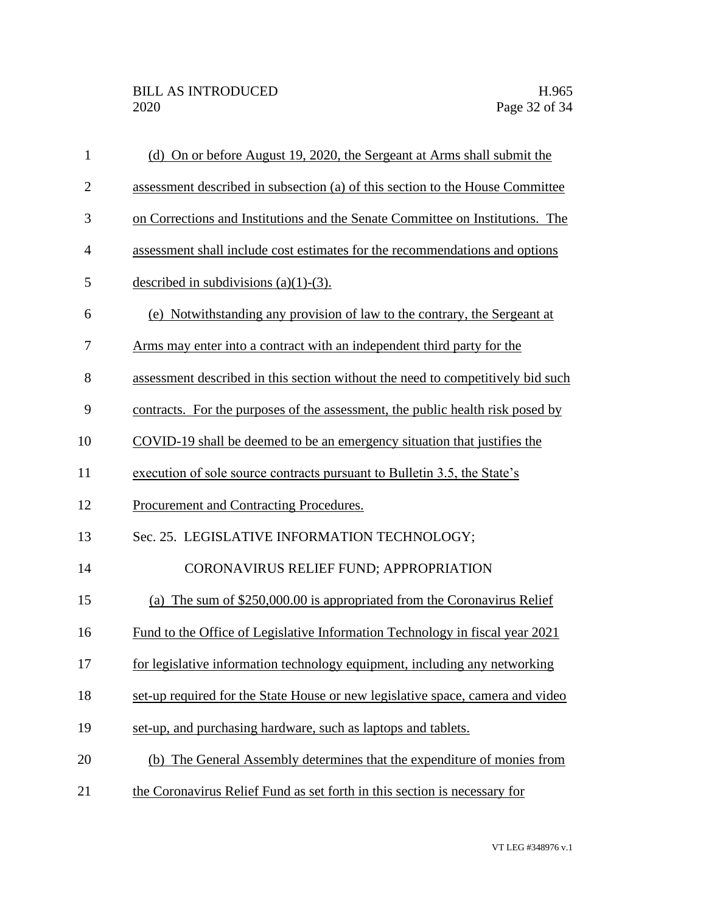| $\mathbf{1}$ | (d) On or before August 19, 2020, the Sergeant at Arms shall submit the         |
|--------------|---------------------------------------------------------------------------------|
| $\mathbf{2}$ | assessment described in subsection (a) of this section to the House Committee   |
| 3            | on Corrections and Institutions and the Senate Committee on Institutions. The   |
| 4            | assessment shall include cost estimates for the recommendations and options     |
| 5            | described in subdivisions $(a)(1)-(3)$ .                                        |
| 6            | (e) Notwithstanding any provision of law to the contrary, the Sergeant at       |
| 7            | Arms may enter into a contract with an independent third party for the          |
| 8            | assessment described in this section without the need to competitively bid such |
| 9            | contracts. For the purposes of the assessment, the public health risk posed by  |
| 10           | COVID-19 shall be deemed to be an emergency situation that justifies the        |
| 11           | execution of sole source contracts pursuant to Bulletin 3.5, the State's        |
| 12           | Procurement and Contracting Procedures.                                         |
| 13           | Sec. 25. LEGISLATIVE INFORMATION TECHNOLOGY;                                    |
| 14           | CORONAVIRUS RELIEF FUND; APPROPRIATION                                          |
| 15           | The sum of \$250,000.00 is appropriated from the Coronavirus Relief<br>(a)      |
| 16           | Fund to the Office of Legislative Information Technology in fiscal year 2021    |
| 17           | for legislative information technology equipment, including any networking      |
| 18           | set-up required for the State House or new legislative space, camera and video  |
| 19           | set-up, and purchasing hardware, such as laptops and tablets.                   |
| 20           | (b) The General Assembly determines that the expenditure of monies from         |
| 21           | the Coronavirus Relief Fund as set forth in this section is necessary for       |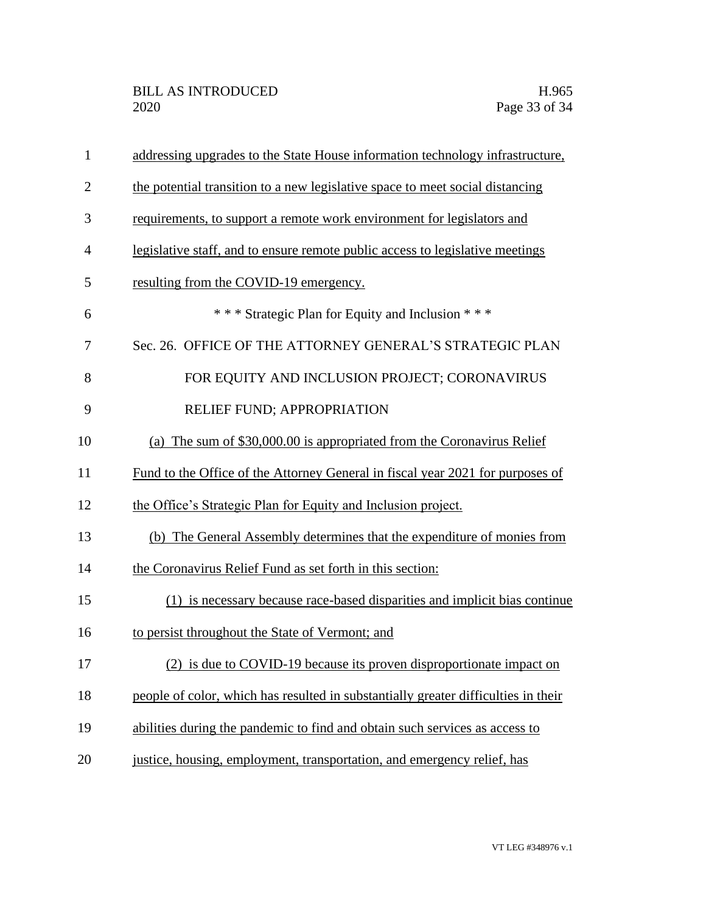| $\mathbf{1}$   | addressing upgrades to the State House information technology infrastructure,      |
|----------------|------------------------------------------------------------------------------------|
| $\overline{2}$ | the potential transition to a new legislative space to meet social distancing      |
| 3              | requirements, to support a remote work environment for legislators and             |
| $\overline{4}$ | legislative staff, and to ensure remote public access to legislative meetings      |
| 5              | resulting from the COVID-19 emergency.                                             |
| 6              | *** Strategic Plan for Equity and Inclusion ***                                    |
| 7              | Sec. 26. OFFICE OF THE ATTORNEY GENERAL'S STRATEGIC PLAN                           |
| 8              | FOR EQUITY AND INCLUSION PROJECT; CORONAVIRUS                                      |
| 9              | RELIEF FUND; APPROPRIATION                                                         |
| 10             | (a) The sum of \$30,000.00 is appropriated from the Coronavirus Relief             |
| 11             | Fund to the Office of the Attorney General in fiscal year 2021 for purposes of     |
| 12             | the Office's Strategic Plan for Equity and Inclusion project.                      |
| 13             | (b) The General Assembly determines that the expenditure of monies from            |
| 14             | the Coronavirus Relief Fund as set forth in this section:                          |
| 15             | (1) is necessary because race-based disparities and implicit bias continue         |
| 16             | to persist throughout the State of Vermont; and                                    |
| 17             | (2) is due to COVID-19 because its proven disproportionate impact on               |
| 18             | people of color, which has resulted in substantially greater difficulties in their |
| 19             | abilities during the pandemic to find and obtain such services as access to        |
| 20             | justice, housing, employment, transportation, and emergency relief, has            |